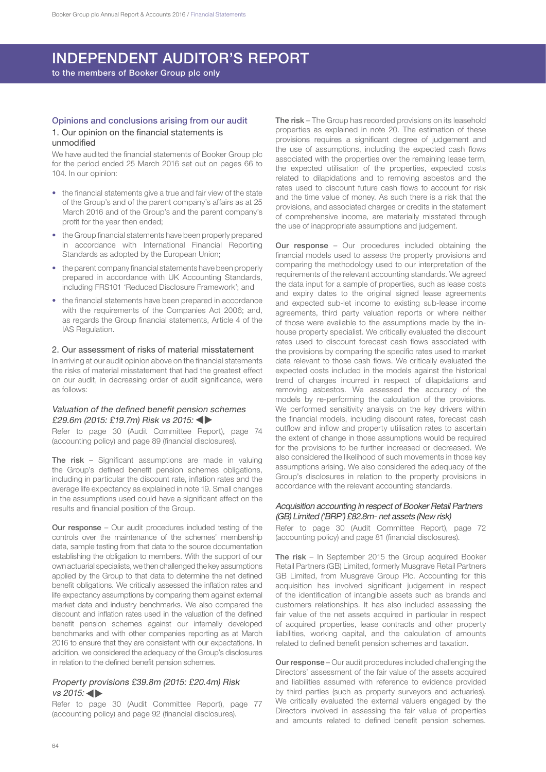## INDEPENDENT AUDITOR'S REPORT

to the members of Booker Group plc only

## Opinions and conclusions arising from our audit 1. Our opinion on the financial statements is

#### unmodified

We have audited the financial statements of Booker Group plc for the period ended 25 March 2016 set out on pages 66 to 104. In our opinion:

- the financial statements give a true and fair view of the state of the Group's and of the parent company's affairs as at 25 March 2016 and of the Group's and the parent company's profit for the year then ended;
- the Group financial statements have been properly prepared in accordance with International Financial Reporting Standards as adopted by the European Union;
- the parent company financial statements have been properly prepared in accordance with UK Accounting Standards, including FRS101 'Reduced Disclosure Framework'; and
- the financial statements have been prepared in accordance with the requirements of the Companies Act 2006; and, as regards the Group financial statements, Article 4 of the IAS Regulation.

#### 2. Our assessment of risks of material misstatement

In arriving at our audit opinion above on the financial statements the risks of material misstatement that had the greatest effect on our audit, in decreasing order of audit significance, were as follows:

### Valuation of the defined benefit pension schemes £29.6m (2015: £19.7m) Risk vs 2015: <

Refer to page 30 (Audit Committee Report), page 74 (accounting policy) and page 89 (financial disclosures).

The risk – Significant assumptions are made in valuing the Group's defined benefit pension schemes obligations, including in particular the discount rate, inflation rates and the average life expectancy as explained in note 19. Small changes in the assumptions used could have a significant effect on the results and financial position of the Group.

Our response – Our audit procedures included testing of the controls over the maintenance of the schemes' membership data, sample testing from that data to the source documentation establishing the obligation to members. With the support of our own actuarial specialists, we then challenged the key assumptions applied by the Group to that data to determine the net defined benefit obligations. We critically assessed the inflation rates and life expectancy assumptions by comparing them against external market data and industry benchmarks. We also compared the discount and inflation rates used in the valuation of the defined benefit pension schemes against our internally developed benchmarks and with other companies reporting as at March 2016 to ensure that they are consistent with our expectations. In addition, we considered the adequacy of the Group's disclosures in relation to the defined benefit pension schemes.

#### Property provisions £39.8m (2015: £20.4m) Risk vs 2015:

Refer to page 30 (Audit Committee Report), page 77 (accounting policy) and page 92 (financial disclosures).

The risk – The Group has recorded provisions on its leasehold properties as explained in note 20. The estimation of these provisions requires a significant degree of judgement and the use of assumptions, including the expected cash flows associated with the properties over the remaining lease term, the expected utilisation of the properties, expected costs related to dilapidations and to removing asbestos and the rates used to discount future cash flows to account for risk and the time value of money. As such there is a risk that the provisions, and associated charges or credits in the statement of comprehensive income, are materially misstated through the use of inappropriate assumptions and judgement.

Our response – Our procedures included obtaining the financial models used to assess the property provisions and comparing the methodology used to our interpretation of the requirements of the relevant accounting standards. We agreed the data input for a sample of properties, such as lease costs and expiry dates to the original signed lease agreements and expected sub-let income to existing sub-lease income agreements, third party valuation reports or where neither of those were available to the assumptions made by the inhouse property specialist. We critically evaluated the discount rates used to discount forecast cash flows associated with the provisions by comparing the specific rates used to market data relevant to those cash flows. We critically evaluated the expected costs included in the models against the historical trend of charges incurred in respect of dilapidations and removing asbestos. We assessed the accuracy of the models by re-performing the calculation of the provisions. We performed sensitivity analysis on the key drivers within the financial models, including discount rates, forecast cash outflow and inflow and property utilisation rates to ascertain the extent of change in those assumptions would be required for the provisions to be further increased or decreased. We also considered the likelihood of such movements in those key assumptions arising. We also considered the adequacy of the Group's disclosures in relation to the property provisions in accordance with the relevant accounting standards.

## Acquisition accounting in respect of Booker Retail Partners (GB) Limited ('BRP') £82.8m- net assets (New risk)

Refer to page 30 (Audit Committee Report), page 72 (accounting policy) and page 81 (financial disclosures).

The risk – In September 2015 the Group acquired Booker Retail Partners (GB) Limited, formerly Musgrave Retail Partners GB Limited, from Musgrave Group Plc. Accounting for this acquisition has involved significant judgement in respect of the identification of intangible assets such as brands and customers relationships. It has also included assessing the fair value of the net assets acquired in particular in respect of acquired properties, lease contracts and other property liabilities, working capital, and the calculation of amounts related to defined benefit pension schemes and taxation.

Our response – Our audit procedures included challenging the Directors' assessment of the fair value of the assets acquired and liabilities assumed with reference to evidence provided by third parties (such as property surveyors and actuaries). We critically evaluated the external valuers engaged by the Directors involved in assessing the fair value of properties and amounts related to defined benefit pension schemes.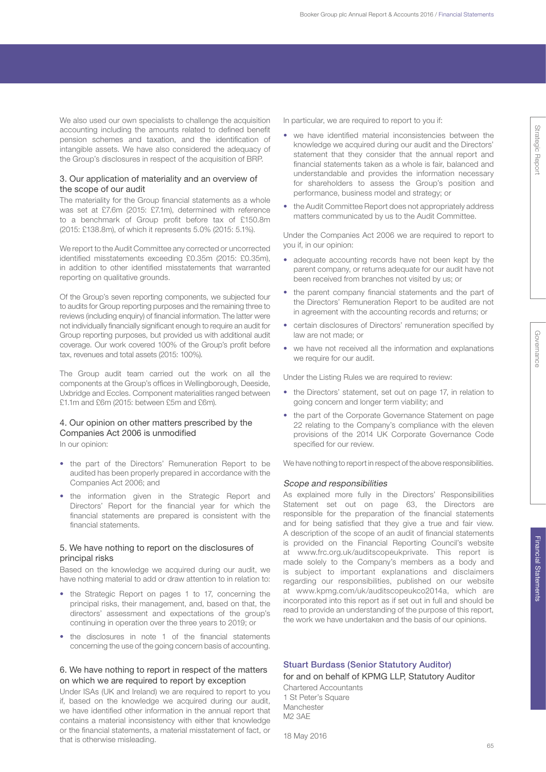We also used our own specialists to challenge the acquisition accounting including the amounts related to defined benefit pension schemes and taxation, and the identification of intangible assets. We have also considered the adequacy of the Group's disclosures in respect of the acquisition of BRP.

## 3. Our application of materiality and an overview of the scope of our audit

The materiality for the Group financial statements as a whole was set at £7.6m (2015: £7.1m), determined with reference to a benchmark of Group profit before tax of £150.8m (2015: £138.8m), of which it represents 5.0% (2015: 5.1%).

We report to the Audit Committee any corrected or uncorrected identified misstatements exceeding £0.35m (2015: £0.35m), in addition to other identified misstatements that warranted reporting on qualitative grounds.

Of the Group's seven reporting components, we subjected four to audits for Group reporting purposes and the remaining three to reviews (including enquiry) of financial information. The latter were not individually financially significant enough to require an audit for Group reporting purposes, but provided us with additional audit coverage. Our work covered 100% of the Group's profit before tax, revenues and total assets (2015: 100%).

The Group audit team carried out the work on all the components at the Group's offices in Wellingborough, Deeside, Uxbridge and Eccles. Component materialities ranged between £1.1m and £6m (2015: between £5m and £6m).

## 4. Our opinion on other matters prescribed by the Companies Act 2006 is unmodified

In our opinion:

- the part of the Directors' Remuneration Report to be audited has been properly prepared in accordance with the Companies Act 2006; and
- the information given in the Strategic Report and Directors' Report for the financial year for which the financial statements are prepared is consistent with the financial statements.

## 5. We have nothing to report on the disclosures of principal risks

Based on the knowledge we acquired during our audit, we have nothing material to add or draw attention to in relation to:

- the Strategic Report on pages 1 to 17, concerning the principal risks, their management, and, based on that, the directors' assessment and expectations of the group's continuing in operation over the three years to 2019; or
- the disclosures in note 1 of the financial statements concerning the use of the going concern basis of accounting.

## 6. We have nothing to report in respect of the matters on which we are required to report by exception

Under ISAs (UK and Ireland) we are required to report to you if, based on the knowledge we acquired during our audit, we have identified other information in the annual report that contains a material inconsistency with either that knowledge or the financial statements, a material misstatement of fact, or that is otherwise misleading.

In particular, we are required to report to you if:

- we have identified material inconsistencies between the knowledge we acquired during our audit and the Directors' statement that they consider that the annual report and financial statements taken as a whole is fair, balanced and understandable and provides the information necessary for shareholders to assess the Group's position and performance, business model and strategy; or
- the Audit Committee Report does not appropriately address matters communicated by us to the Audit Committee.

Under the Companies Act 2006 we are required to report to you if, in our opinion:

- adequate accounting records have not been kept by the parent company, or returns adequate for our audit have not been received from branches not visited by us; or
- the parent company financial statements and the part of the Directors' Remuneration Report to be audited are not in agreement with the accounting records and returns; or
- certain disclosures of Directors' remuneration specified by law are not made; or
- we have not received all the information and explanations we require for our audit.

Under the Listing Rules we are required to review:

- the Directors' statement, set out on page 17, in relation to going concern and longer term viability; and
- the part of the Corporate Governance Statement on page 22 relating to the Company's compliance with the eleven provisions of the 2014 UK Corporate Governance Code specified for our review.

We have nothing to report in respect of the above responsibilities.

### Scope and responsibilities

As explained more fully in the Directors' Responsibilities Statement set out on page 63, the Directors are responsible for the preparation of the financial statements and for being satisfied that they give a true and fair view. A description of the scope of an audit of financial statements is provided on the Financial Reporting Council's website at www.frc.org.uk/auditscopeukprivate. This report is made solely to the Company's members as a body and is subject to important explanations and disclaimers regarding our responsibilities, published on our website at www.kpmg.com/uk/auditscopeukco2014a, which are incorporated into this report as if set out in full and should be read to provide an understanding of the purpose of this report, the work we have undertaken and the basis of our opinions.

## Stuart Burdass (Senior Statutory Auditor)

## for and on behalf of KPMG LLP, Statutory Auditor

Chartered Accountants 1 St Peter's Square Manchester M2 3AE

18 May 2016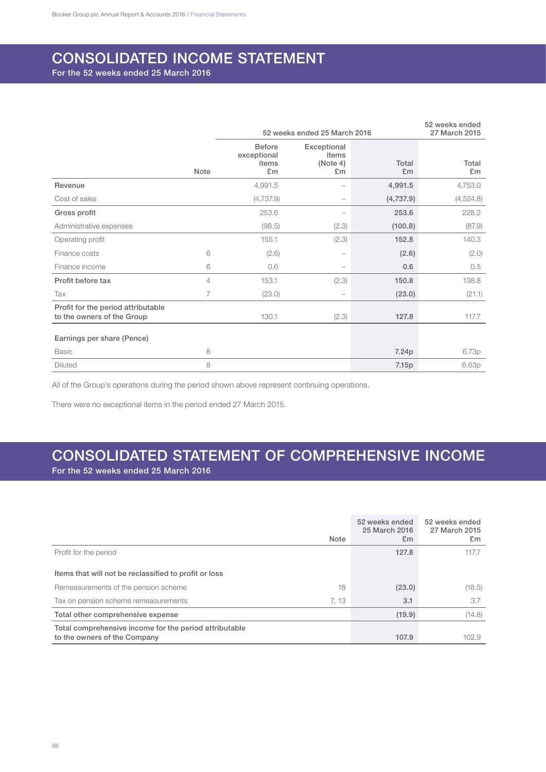## CONSOLIDATED INCOME STATEMENT

For the 52 weeks ended 25 March 2016

|                                                                  |             |                                             | 52 weeks ended 25 March 2016           |             | 52 weeks ended<br>27 March 2015 |
|------------------------------------------------------------------|-------------|---------------------------------------------|----------------------------------------|-------------|---------------------------------|
|                                                                  | <b>Note</b> | <b>Before</b><br>exceptional<br>items<br>£m | Exceptional<br>items<br>(Note 4)<br>£m | Total<br>Em | Total<br>£m                     |
| Revenue                                                          |             | 4,991.5                                     | -                                      | 4,991.5     | 4,753.0                         |
| Cost of sales                                                    |             | (4,737.9)                                   | -                                      | (4,737.9)   | (4,524.8)                       |
| Gross profit                                                     |             | 253.6                                       | -                                      | 253.6       | 228.2                           |
| Administrative expenses                                          |             | (98.5)                                      | (2.3)                                  | (100.8)     | (87.9)                          |
| Operating profit                                                 |             | 155.1                                       | (2.3)                                  | 152.8       | 140.3                           |
| Finance costs                                                    | 6           | (2.6)                                       | -                                      | (2.6)       | (2.0)                           |
| Finance income                                                   | 6           | 0.6                                         | -                                      | 0.6         | 0.5                             |
| Profit before tax                                                | 4           | 153.1                                       | (2.3)                                  | 150.8       | 138.8                           |
| Tax                                                              | 7           | (23.0)                                      |                                        | (23.0)      | (21.1)                          |
| Profit for the period attributable<br>to the owners of the Group |             | 130.1                                       | (2.3)                                  | 127.8       | 117.7                           |
| Earnings per share (Pence)                                       |             |                                             |                                        |             |                                 |
| <b>Basic</b>                                                     | 8           |                                             |                                        | 7.24p       | 6.73p                           |
| <b>Diluted</b>                                                   | 8           |                                             |                                        | 7.15p       | 6.63p                           |

All of the Group's operations during the period shown above represent continuing operations.

There were no exceptional items in the period ended 27 March 2015.

## CONSOLIDATED STATEMENT OF COMPREHENSIVE INCOME

For the 52 weeks ended 25 March 2016

|                                                                                        | Note  | 52 weeks ended<br>25 March 2016<br>Em | 52 weeks ended<br>27 March 2015<br>£m |
|----------------------------------------------------------------------------------------|-------|---------------------------------------|---------------------------------------|
| Profit for the period                                                                  |       | 127.8                                 | 117.7                                 |
| Items that will not be reclassified to profit or loss                                  |       |                                       |                                       |
| Remeasurements of the pension scheme                                                   | 18    | (23.0)                                | (18.5)                                |
| Tax on pension scheme remeasurements                                                   | 7, 13 | 3.1                                   | 3.7                                   |
| Total other comprehensive expense                                                      |       | (19.9)                                | (14.8)                                |
| Total comprehensive income for the period attributable<br>to the owners of the Company |       | 107.9                                 | 102.9                                 |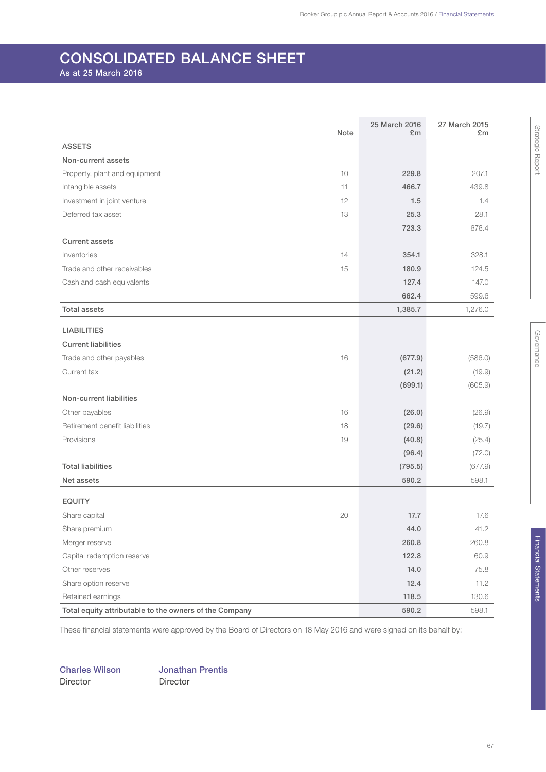## CONSOLIDATED BALANCE SHEET

As at 25 March 2016

|                                                        | Note | 25 March 2016<br>£m | 27 March 2015<br>£m |
|--------------------------------------------------------|------|---------------------|---------------------|
| <b>ASSETS</b>                                          |      |                     |                     |
| Non-current assets                                     |      |                     |                     |
| Property, plant and equipment                          | 10   | 229.8               | 207.1               |
| Intangible assets                                      | 11   | 466.7               | 439.8               |
| Investment in joint venture                            | 12   | 1.5                 | 1.4                 |
| Deferred tax asset                                     | 13   | 25.3                | 28.1                |
|                                                        |      | 723.3               | 676.4               |
| <b>Current assets</b>                                  |      |                     |                     |
| Inventories                                            | 14   | 354.1               | 328.1               |
| Trade and other receivables                            | 15   | 180.9               | 124.5               |
| Cash and cash equivalents                              |      | 127.4               | 147.0               |
|                                                        |      | 662.4               | 599.6               |
| <b>Total assets</b>                                    |      | 1,385.7             | 1,276.0             |
| <b>LIABILITIES</b>                                     |      |                     |                     |
| <b>Current liabilities</b>                             |      |                     |                     |
| Trade and other payables                               | 16   | (677.9)             | (586.0)             |
| Current tax                                            |      | (21.2)              | (19.9)              |
|                                                        |      | (699.1)             | (605.9)             |
| Non-current liabilities                                |      |                     |                     |
| Other payables                                         | 16   | (26.0)              | (26.9)              |
| Retirement benefit liabilities                         | 18   | (29.6)              | (19.7)              |
| Provisions                                             | 19   | (40.8)              | (25.4)              |
|                                                        |      | (96.4)              | (72.0)              |
| <b>Total liabilities</b>                               |      | (795.5)             | (677.9)             |
| Net assets                                             |      | 590.2               | 598.1               |
|                                                        |      |                     |                     |
| <b>EQUITY</b>                                          |      |                     |                     |
| Share capital                                          | 20   | 17.7                | 17.6                |
| Share premium                                          |      | 44.0                | 41.2                |
| Merger reserve                                         |      | 260.8               | 260.8               |
| Capital redemption reserve                             |      | 122.8               | 60.9                |
| Other reserves                                         |      | 14.0                | 75.8                |
| Share option reserve                                   |      | 12.4                | 11.2                |
| Retained earnings                                      |      | 118.5               | 130.6               |
| Total equity attributable to the owners of the Company |      | 590.2               | 598.1               |

These financial statements were approved by the Board of Directors on 18 May 2016 and were signed on its behalf by:

Charles Wilson Jonathan Prentis Director Director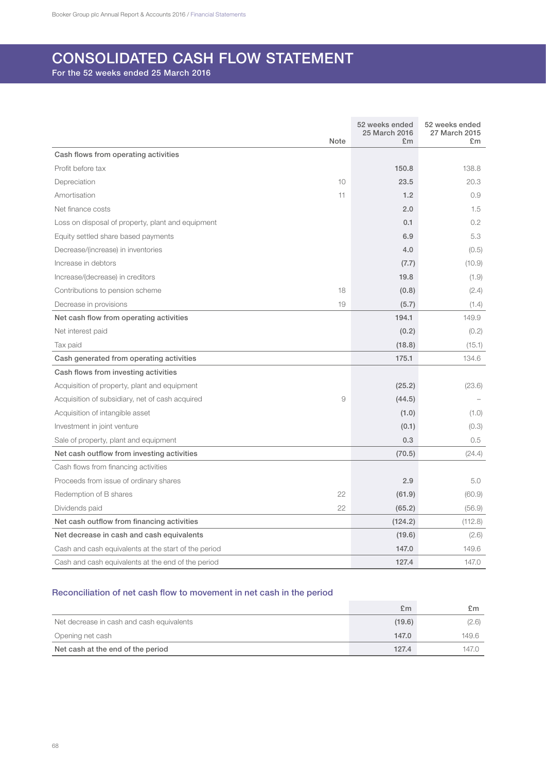## CONSOLIDATED CASH FLOW STATEMENT

For the 52 weeks ended 25 March 2016

| <b>Note</b>                                          | 52 weeks ended<br>25 March 2016<br>£m | 52 weeks ended<br>27 March 2015<br>£m |
|------------------------------------------------------|---------------------------------------|---------------------------------------|
| Cash flows from operating activities                 |                                       |                                       |
| Profit before tax                                    | 150.8                                 | 138.8                                 |
| 10<br>Depreciation                                   | 23.5                                  | 20.3                                  |
| Amortisation<br>11                                   | 1.2                                   | 0.9                                   |
| Net finance costs                                    | 2.0                                   | 1.5                                   |
| Loss on disposal of property, plant and equipment    | 0.1                                   | 0.2                                   |
| Equity settled share based payments                  | 6.9                                   | 5.3                                   |
| Decrease/(increase) in inventories                   | 4.0                                   | (0.5)                                 |
| Increase in debtors                                  | (7.7)                                 | (10.9)                                |
| Increase/(decrease) in creditors                     | 19.8                                  | (1.9)                                 |
| 18<br>Contributions to pension scheme                | (0.8)                                 | (2.4)                                 |
| 19<br>Decrease in provisions                         | (5.7)                                 | (1.4)                                 |
| Net cash flow from operating activities              | 194.1                                 | 149.9                                 |
| Net interest paid                                    | (0.2)                                 | (0.2)                                 |
| Tax paid                                             | (18.8)                                | (15.1)                                |
| Cash generated from operating activities             | 175.1                                 | 134.6                                 |
| Cash flows from investing activities                 |                                       |                                       |
| Acquisition of property, plant and equipment         | (25.2)                                | (23.6)                                |
| Acquisition of subsidiary, net of cash acquired      | 9<br>(44.5)                           |                                       |
| Acquisition of intangible asset                      | (1.0)                                 | (1.0)                                 |
| Investment in joint venture                          | (0.1)                                 | (0.3)                                 |
| Sale of property, plant and equipment                | 0.3                                   | 0.5                                   |
| Net cash outflow from investing activities           | (70.5)                                | (24.4)                                |
| Cash flows from financing activities                 |                                       |                                       |
| Proceeds from issue of ordinary shares               | 2.9                                   | 5.0                                   |
| 22<br>Redemption of B shares                         | (61.9)                                | (60.9)                                |
| 22<br>Dividends paid                                 | (65.2)                                | (56.9)                                |
| Net cash outflow from financing activities           | (124.2)                               | (112.8)                               |
| Net decrease in cash and cash equivalents            | (19.6)                                | (2.6)                                 |
| Cash and cash equivalents at the start of the period | 147.0                                 | 149.6                                 |
| Cash and cash equivalents at the end of the period   | 127.4                                 | 147.0                                 |

## Reconciliation of net cash flow to movement in net cash in the period

|                                           | £m     | £m    |
|-------------------------------------------|--------|-------|
| Net decrease in cash and cash equivalents | (19.6) | (2.6) |
| Opening net cash                          | 147.0  | 149.6 |
| Net cash at the end of the period         | 127.4  | 147.0 |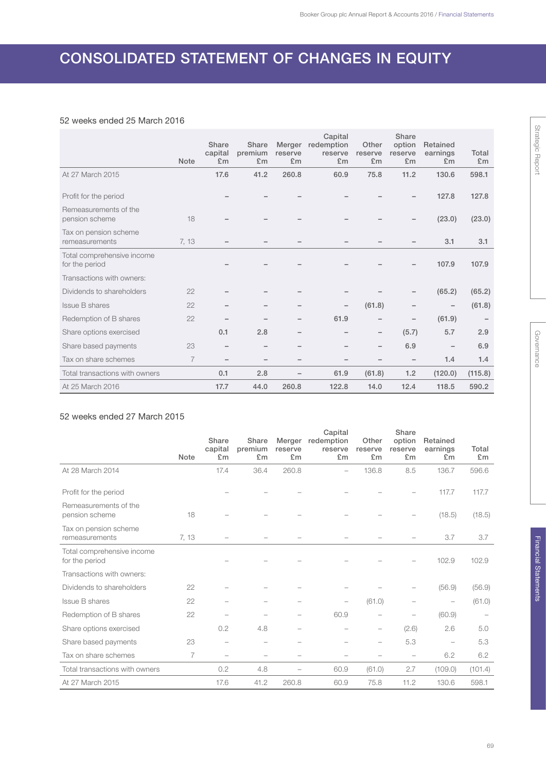## CONSOLIDATED STATEMENT OF CHANGES IN EQUITY

## 52 weeks ended 25 March 2016

|                                              | <b>Note</b>    | Share<br>capital<br>£m | Share<br>premium<br>£m   | Merger<br>reserve<br>£m | Capital<br>redemption<br>reserve<br>£m | Other<br>reserve<br>£m | Share<br>option<br>reserve<br>£m | Retained<br>earnings<br>£m | Total<br>E <sub>m</sub> |
|----------------------------------------------|----------------|------------------------|--------------------------|-------------------------|----------------------------------------|------------------------|----------------------------------|----------------------------|-------------------------|
| At 27 March 2015                             |                | 17.6                   | 41.2                     | 260.8                   | 60.9                                   | 75.8                   | 11.2                             | 130.6                      | 598.1                   |
| Profit for the period                        |                |                        |                          |                         |                                        |                        |                                  | 127.8                      | 127.8                   |
| Remeasurements of the<br>pension scheme      | 18             |                        |                          |                         |                                        |                        |                                  | (23.0)                     | (23.0)                  |
| Tax on pension scheme<br>remeasurements      | 7, 13          |                        |                          |                         |                                        |                        |                                  | 3.1                        | 3.1                     |
| Total comprehensive income<br>for the period |                |                        |                          |                         |                                        |                        |                                  | 107.9                      | 107.9                   |
| Transactions with owners:                    |                |                        |                          |                         |                                        |                        |                                  |                            |                         |
| Dividends to shareholders                    | 22             |                        |                          |                         |                                        |                        |                                  | (65.2)                     | (65.2)                  |
| <b>Issue B shares</b>                        | 22             |                        |                          |                         | -                                      | (61.8)                 | -                                | $\qquad \qquad -$          | (61.8)                  |
| Redemption of B shares                       | 22             |                        |                          | -                       | 61.9                                   | $\qquad \qquad -$      | $\qquad \qquad -$                | (61.9)                     |                         |
| Share options exercised                      |                | 0.1                    | 2.8                      | $\qquad \qquad -$       | -                                      | $\qquad \qquad -$      | (5.7)                            | 5.7                        | 2.9                     |
| Share based payments                         | 23             | -                      | $\qquad \qquad$          | $\qquad \qquad -$       | -                                      | -                      | 6.9                              | $\qquad \qquad -$          | 6.9                     |
| Tax on share schemes                         | $\overline{7}$ |                        | $\overline{\phantom{0}}$ |                         | -                                      |                        | $\qquad \qquad -$                | 1.4                        | 1.4                     |
| Total transactions with owners               |                | 0.1                    | 2.8                      |                         | 61.9                                   | (61.8)                 | 1.2                              | (120.0)                    | (115.8)                 |
| At 25 March 2016                             |                | 17.7                   | 44.0                     | 260.8                   | 122.8                                  | 14.0                   | 12.4                             | 118.5                      | 590.2                   |

## 52 weeks ended 27 March 2015

|                                              |             | Share                    | Share                    | Merger        | Capital<br>redemption    | Other                    | Share<br>option          | Retained                   |             |
|----------------------------------------------|-------------|--------------------------|--------------------------|---------------|--------------------------|--------------------------|--------------------------|----------------------------|-------------|
|                                              | <b>Note</b> | capital<br>£m            | premium<br>£m            | reserve<br>£m | reserve<br>£m            | reserve<br>£m            | reserve<br>£m            | earnings<br>E <sub>m</sub> | Total<br>£m |
| At 28 March 2014                             |             | 17.4                     | 36.4                     | 260.8         | $\overline{\phantom{0}}$ | 136.8                    | 8.5                      | 136.7                      | 596.6       |
| Profit for the period                        |             |                          |                          |               |                          |                          |                          | 117.7                      | 117.7       |
| Remeasurements of the<br>pension scheme      | 18          |                          |                          |               |                          |                          |                          | (18.5)                     | (18.5)      |
| Tax on pension scheme<br>remeasurements      | 7, 13       |                          |                          |               |                          |                          |                          | 3.7                        | 3.7         |
| Total comprehensive income<br>for the period |             |                          |                          |               |                          |                          |                          | 102.9                      | 102.9       |
| Transactions with owners:                    |             |                          |                          |               |                          |                          |                          |                            |             |
| Dividends to shareholders                    | 22          |                          |                          |               |                          |                          |                          | (56.9)                     | (56.9)      |
| Issue B shares                               | 22          |                          |                          | -             | $\overline{\phantom{0}}$ | (61.0)                   | $\overline{\phantom{0}}$ | $\qquad \qquad -$          | (61.0)      |
| Redemption of B shares                       | 22          |                          |                          | -             | 60.9                     | $\overline{\phantom{m}}$ |                          | (60.9)                     |             |
| Share options exercised                      |             | 0.2                      | 4.8                      | -             | -                        | $\overline{\phantom{0}}$ | (2.6)                    | 2.6                        | 5.0         |
| Share based payments                         | 23          | $\overline{\phantom{0}}$ | $\overline{\phantom{0}}$ |               |                          | $\overline{\phantom{0}}$ | 5.3                      | $\overline{\phantom{m}}$   | 5.3         |
| Tax on share schemes                         | 7           | $\overline{\phantom{0}}$ | $\overline{\phantom{0}}$ |               | $\overline{\phantom{0}}$ | $\overline{\phantom{0}}$ |                          | 6.2                        | 6.2         |
| Total transactions with owners               |             | 0.2                      | 4.8                      |               | 60.9                     | (61.0)                   | 2.7                      | (109.0)                    | (101.4)     |
| At 27 March 2015                             |             | 17.6                     | 41.2                     | 260.8         | 60.9                     | 75.8                     | 11.2                     | 130.6                      | 598.1       |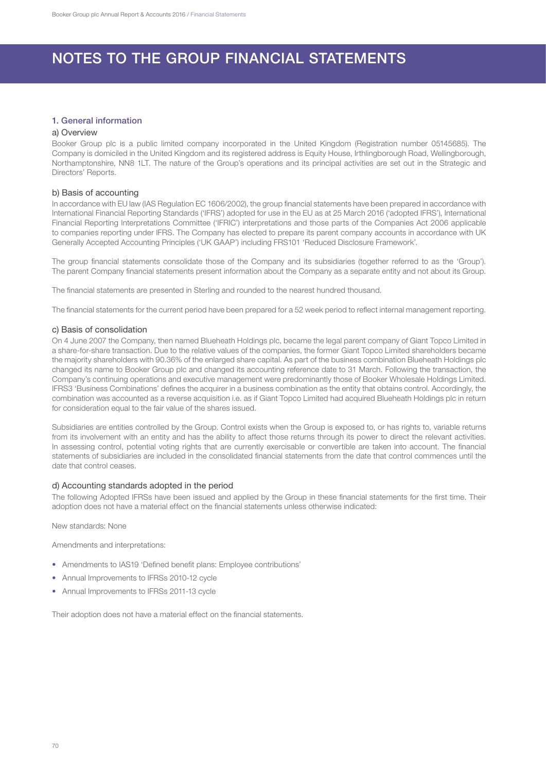## NOTES TO THE GROUP FINANCIAL STATEMENTS

## 1. General information

### a) Overview

Booker Group plc is a public limited company incorporated in the United Kingdom (Registration number 05145685). The Company is domiciled in the United Kingdom and its registered address is Equity House, Irthlingborough Road, Wellingborough, Northamptonshire, NN8 1LT. The nature of the Group's operations and its principal activities are set out in the Strategic and Directors' Reports.

#### b) Basis of accounting

In accordance with EU law (IAS Regulation EC 1606/2002), the group financial statements have been prepared in accordance with International Financial Reporting Standards ('IFRS') adopted for use in the EU as at 25 March 2016 ('adopted IFRS'), International Financial Reporting Interpretations Committee ('IFRIC') interpretations and those parts of the Companies Act 2006 applicable to companies reporting under IFRS. The Company has elected to prepare its parent company accounts in accordance with UK Generally Accepted Accounting Principles ('UK GAAP') including FRS101 'Reduced Disclosure Framework'.

The group financial statements consolidate those of the Company and its subsidiaries (together referred to as the 'Group'). The parent Company financial statements present information about the Company as a separate entity and not about its Group.

The financial statements are presented in Sterling and rounded to the nearest hundred thousand.

The financial statements for the current period have been prepared for a 52 week period to reflect internal management reporting.

#### c) Basis of consolidation

On 4 June 2007 the Company, then named Blueheath Holdings plc, became the legal parent company of Giant Topco Limited in a share-for-share transaction. Due to the relative values of the companies, the former Giant Topco Limited shareholders became the majority shareholders with 90.36% of the enlarged share capital. As part of the business combination Blueheath Holdings plc changed its name to Booker Group plc and changed its accounting reference date to 31 March. Following the transaction, the Company's continuing operations and executive management were predominantly those of Booker Wholesale Holdings Limited. IFRS3 'Business Combinations' defines the acquirer in a business combination as the entity that obtains control. Accordingly, the combination was accounted as a reverse acquisition i.e. as if Giant Topco Limited had acquired Blueheath Holdings plc in return for consideration equal to the fair value of the shares issued.

Subsidiaries are entities controlled by the Group. Control exists when the Group is exposed to, or has rights to, variable returns from its involvement with an entity and has the ability to affect those returns through its power to direct the relevant activities. In assessing control, potential voting rights that are currently exercisable or convertible are taken into account. The financial statements of subsidiaries are included in the consolidated financial statements from the date that control commences until the date that control ceases.

#### d) Accounting standards adopted in the period

The following Adopted IFRSs have been issued and applied by the Group in these financial statements for the first time. Their adoption does not have a material effect on the financial statements unless otherwise indicated:

New standards: None

Amendments and interpretations:

- Amendments to IAS19 'Defined benefit plans: Employee contributions'
- Annual Improvements to IFRSs 2010-12 cycle
- Annual Improvements to IFRSs 2011-13 cycle

Their adoption does not have a material effect on the financial statements.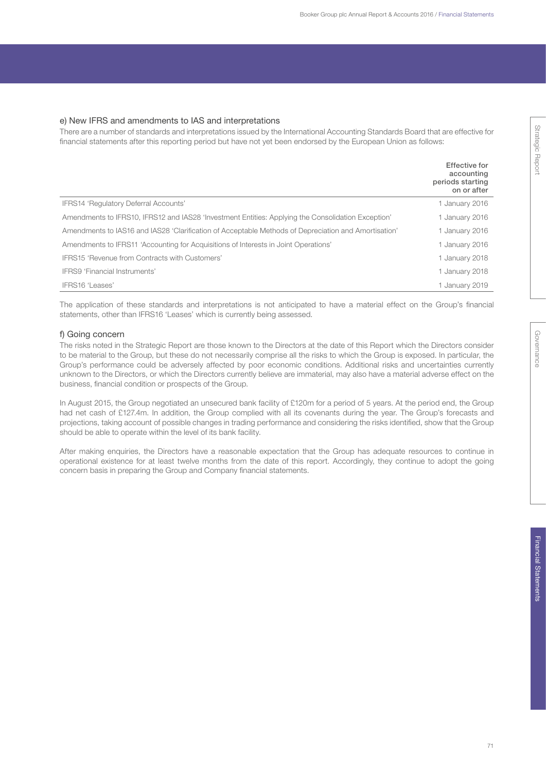#### e) New IFRS and amendments to IAS and interpretations

There are a number of standards and interpretations issued by the International Accounting Standards Board that are effective for financial statements after this reporting period but have not yet been endorsed by the European Union as follows:

|                                                                                                      | <b>Effective for</b><br>accounting<br>periods starting<br>on or after |
|------------------------------------------------------------------------------------------------------|-----------------------------------------------------------------------|
| IFRS14 'Regulatory Deferral Accounts'                                                                | 1 January 2016                                                        |
| Amendments to IFRS10, IFRS12 and IAS28 'Investment Entities: Applying the Consolidation Exception'   | 1 January 2016                                                        |
| Amendments to IAS16 and IAS28 'Clarification of Acceptable Methods of Depreciation and Amortisation' | 1 January 2016                                                        |
| Amendments to IFRS11 'Accounting for Acquisitions of Interests in Joint Operations'                  | 1 January 2016                                                        |
| IFRS15 'Revenue from Contracts with Customers'                                                       | 1 January 2018                                                        |
| <b>IFRS9 'Financial Instruments'</b>                                                                 | 1 January 2018                                                        |
| IFRS16 'Leases'                                                                                      | 1 January 2019                                                        |

The application of these standards and interpretations is not anticipated to have a material effect on the Group's financial statements, other than IFRS16 'Leases' which is currently being assessed.

## f) Going concern

The risks noted in the Strategic Report are those known to the Directors at the date of this Report which the Directors consider to be material to the Group, but these do not necessarily comprise all the risks to which the Group is exposed. In particular, the Group's performance could be adversely affected by poor economic conditions. Additional risks and uncertainties currently unknown to the Directors, or which the Directors currently believe are immaterial, may also have a material adverse effect on the business, financial condition or prospects of the Group.

In August 2015, the Group negotiated an unsecured bank facility of £120m for a period of 5 years. At the period end, the Group had net cash of £127.4m. In addition, the Group complied with all its covenants during the year. The Group's forecasts and projections, taking account of possible changes in trading performance and considering the risks identified, show that the Group should be able to operate within the level of its bank facility.

After making enquiries, the Directors have a reasonable expectation that the Group has adequate resources to continue in operational existence for at least twelve months from the date of this report. Accordingly, they continue to adopt the going concern basis in preparing the Group and Company financial statements.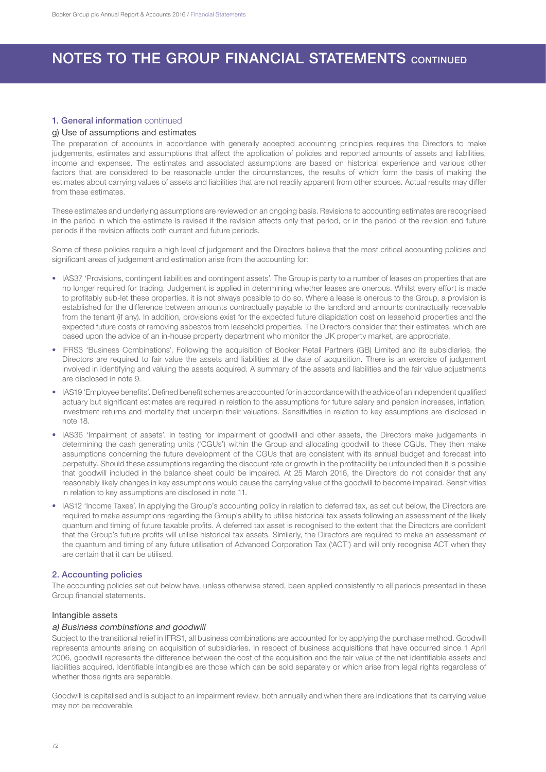## 1. General information continued

## g) Use of assumptions and estimates

The preparation of accounts in accordance with generally accepted accounting principles requires the Directors to make judgements, estimates and assumptions that affect the application of policies and reported amounts of assets and liabilities, income and expenses. The estimates and associated assumptions are based on historical experience and various other factors that are considered to be reasonable under the circumstances, the results of which form the basis of making the estimates about carrying values of assets and liabilities that are not readily apparent from other sources. Actual results may differ from these estimates.

These estimates and underlying assumptions are reviewed on an ongoing basis. Revisions to accounting estimates are recognised in the period in which the estimate is revised if the revision affects only that period, or in the period of the revision and future periods if the revision affects both current and future periods.

Some of these policies require a high level of judgement and the Directors believe that the most critical accounting policies and significant areas of judgement and estimation arise from the accounting for:

- IAS37 'Provisions, contingent liabilities and contingent assets'. The Group is party to a number of leases on properties that are no longer required for trading. Judgement is applied in determining whether leases are onerous. Whilst every effort is made to profitably sub-let these properties, it is not always possible to do so. Where a lease is onerous to the Group, a provision is established for the difference between amounts contractually payable to the landlord and amounts contractually receivable from the tenant (if any). In addition, provisions exist for the expected future dilapidation cost on leasehold properties and the expected future costs of removing asbestos from leasehold properties. The Directors consider that their estimates, which are based upon the advice of an in-house property department who monitor the UK property market, are appropriate.
- IFRS3 'Business Combinations'. Following the acquisition of Booker Retail Partners (GB) Limited and its subsidiaries, the Directors are required to fair value the assets and liabilities at the date of acquisition. There is an exercise of judgement involved in identifying and valuing the assets acquired. A summary of the assets and liabilities and the fair value adjustments are disclosed in note 9.
- IAS19 'Employee benefits'. Defined benefit schemes are accounted for in accordance with the advice of an independent qualified actuary but significant estimates are required in relation to the assumptions for future salary and pension increases, inflation, investment returns and mortality that underpin their valuations. Sensitivities in relation to key assumptions are disclosed in note 18.
- IAS36 'Impairment of assets'. In testing for impairment of goodwill and other assets, the Directors make judgements in determining the cash generating units ('CGUs') within the Group and allocating goodwill to these CGUs. They then make assumptions concerning the future development of the CGUs that are consistent with its annual budget and forecast into perpetuity. Should these assumptions regarding the discount rate or growth in the profitability be unfounded then it is possible that goodwill included in the balance sheet could be impaired. At 25 March 2016, the Directors do not consider that any reasonably likely changes in key assumptions would cause the carrying value of the goodwill to become impaired. Sensitivities in relation to key assumptions are disclosed in note 11.
- IAS12 'Income Taxes'. In applying the Group's accounting policy in relation to deferred tax, as set out below, the Directors are required to make assumptions regarding the Group's ability to utilise historical tax assets following an assessment of the likely quantum and timing of future taxable profits. A deferred tax asset is recognised to the extent that the Directors are confident that the Group's future profits will utilise historical tax assets. Similarly, the Directors are required to make an assessment of the quantum and timing of any future utilisation of Advanced Corporation Tax ('ACT') and will only recognise ACT when they are certain that it can be utilised.

## 2. Accounting policies

The accounting policies set out below have, unless otherwise stated, been applied consistently to all periods presented in these Group financial statements.

### Intangible assets

### a) Business combinations and goodwill

Subject to the transitional relief in IFRS1, all business combinations are accounted for by applying the purchase method. Goodwill represents amounts arising on acquisition of subsidiaries. In respect of business acquisitions that have occurred since 1 April 2006, goodwill represents the difference between the cost of the acquisition and the fair value of the net identifiable assets and liabilities acquired. Identifiable intangibles are those which can be sold separately or which arise from legal rights regardless of whether those rights are separable.

Goodwill is capitalised and is subject to an impairment review, both annually and when there are indications that its carrying value may not be recoverable.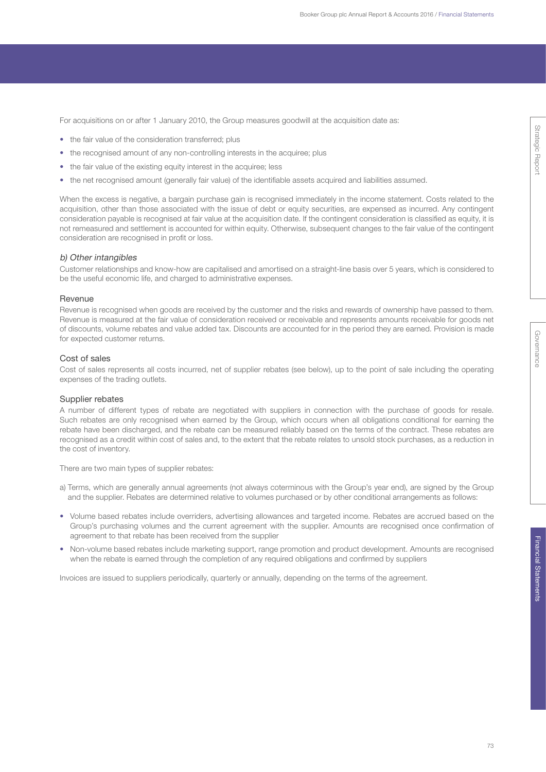For acquisitions on or after 1 January 2010, the Group measures goodwill at the acquisition date as:

- the fair value of the consideration transferred; plus
- the recognised amount of any non-controlling interests in the acquiree; plus
- the fair value of the existing equity interest in the acquiree; less
- the net recognised amount (generally fair value) of the identifiable assets acquired and liabilities assumed.

When the excess is negative, a bargain purchase gain is recognised immediately in the income statement. Costs related to the acquisition, other than those associated with the issue of debt or equity securities, are expensed as incurred. Any contingent consideration payable is recognised at fair value at the acquisition date. If the contingent consideration is classified as equity, it is not remeasured and settlement is accounted for within equity. Otherwise, subsequent changes to the fair value of the contingent consideration are recognised in profit or loss.

## b) Other intangibles

Customer relationships and know-how are capitalised and amortised on a straight-line basis over 5 years, which is considered to be the useful economic life, and charged to administrative expenses.

#### Revenue

Revenue is recognised when goods are received by the customer and the risks and rewards of ownership have passed to them. Revenue is measured at the fair value of consideration received or receivable and represents amounts receivable for goods net of discounts, volume rebates and value added tax. Discounts are accounted for in the period they are earned. Provision is made for expected customer returns.

## Cost of sales

Cost of sales represents all costs incurred, net of supplier rebates (see below), up to the point of sale including the operating expenses of the trading outlets.

## Supplier rebates

A number of different types of rebate are negotiated with suppliers in connection with the purchase of goods for resale. Such rebates are only recognised when earned by the Group, which occurs when all obligations conditional for earning the rebate have been discharged, and the rebate can be measured reliably based on the terms of the contract. These rebates are recognised as a credit within cost of sales and, to the extent that the rebate relates to unsold stock purchases, as a reduction in the cost of inventory.

There are two main types of supplier rebates:

- a) Terms, which are generally annual agreements (not always coterminous with the Group's year end), are signed by the Group and the supplier. Rebates are determined relative to volumes purchased or by other conditional arrangements as follows:
- Volume based rebates include overriders, advertising allowances and targeted income. Rebates are accrued based on the Group's purchasing volumes and the current agreement with the supplier. Amounts are recognised once confirmation of agreement to that rebate has been received from the supplier
- Non-volume based rebates include marketing support, range promotion and product development. Amounts are recognised when the rebate is earned through the completion of any required obligations and confirmed by suppliers

Invoices are issued to suppliers periodically, quarterly or annually, depending on the terms of the agreement.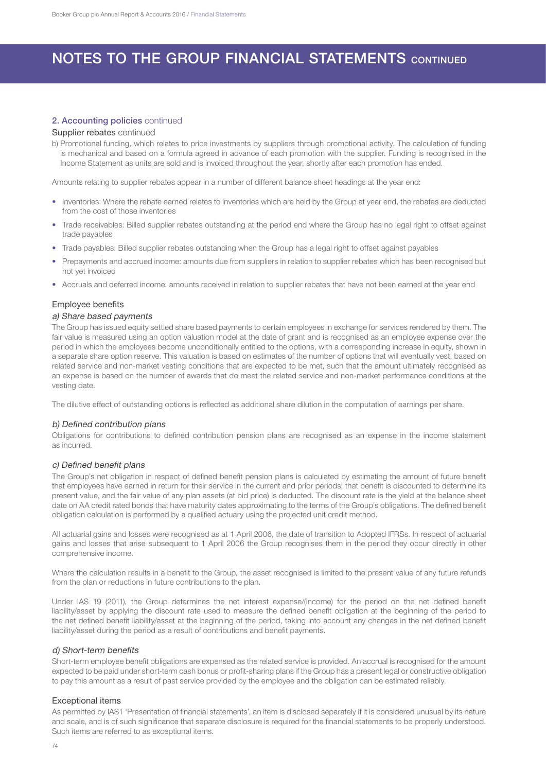## 2. Accounting policies continued

## Supplier rebates continued

b) Promotional funding, which relates to price investments by suppliers through promotional activity. The calculation of funding is mechanical and based on a formula agreed in advance of each promotion with the supplier. Funding is recognised in the Income Statement as units are sold and is invoiced throughout the year, shortly after each promotion has ended.

Amounts relating to supplier rebates appear in a number of different balance sheet headings at the year end:

- Inventories: Where the rebate earned relates to inventories which are held by the Group at year end, the rebates are deducted from the cost of those inventories
- Trade receivables: Billed supplier rebates outstanding at the period end where the Group has no legal right to offset against trade payables
- Trade payables: Billed supplier rebates outstanding when the Group has a legal right to offset against payables
- Prepayments and accrued income: amounts due from suppliers in relation to supplier rebates which has been recognised but not yet invoiced
- Accruals and deferred income: amounts received in relation to supplier rebates that have not been earned at the year end

### Employee benefits

#### a) Share based payments

The Group has issued equity settled share based payments to certain employees in exchange for services rendered by them. The fair value is measured using an option valuation model at the date of grant and is recognised as an employee expense over the period in which the employees become unconditionally entitled to the options, with a corresponding increase in equity, shown in a separate share option reserve. This valuation is based on estimates of the number of options that will eventually vest, based on related service and non-market vesting conditions that are expected to be met, such that the amount ultimately recognised as an expense is based on the number of awards that do meet the related service and non-market performance conditions at the vesting date.

The dilutive effect of outstanding options is reflected as additional share dilution in the computation of earnings per share.

#### b) Defined contribution plans

Obligations for contributions to defined contribution pension plans are recognised as an expense in the income statement as incurred.

#### c) Defined benefit plans

The Group's net obligation in respect of defined benefit pension plans is calculated by estimating the amount of future benefit that employees have earned in return for their service in the current and prior periods; that benefit is discounted to determine its present value, and the fair value of any plan assets (at bid price) is deducted. The discount rate is the yield at the balance sheet date on AA credit rated bonds that have maturity dates approximating to the terms of the Group's obligations. The defined benefit obligation calculation is performed by a qualified actuary using the projected unit credit method.

All actuarial gains and losses were recognised as at 1 April 2006, the date of transition to Adopted IFRSs. In respect of actuarial gains and losses that arise subsequent to 1 April 2006 the Group recognises them in the period they occur directly in other comprehensive income.

Where the calculation results in a benefit to the Group, the asset recognised is limited to the present value of any future refunds from the plan or reductions in future contributions to the plan.

Under IAS 19 (2011), the Group determines the net interest expense/(income) for the period on the net defined benefit liability/asset by applying the discount rate used to measure the defined benefit obligation at the beginning of the period to the net defined benefit liability/asset at the beginning of the period, taking into account any changes in the net defined benefit liability/asset during the period as a result of contributions and benefit payments.

#### d) Short-term benefits

Short-term employee benefit obligations are expensed as the related service is provided. An accrual is recognised for the amount expected to be paid under short-term cash bonus or profit-sharing plans if the Group has a present legal or constructive obligation to pay this amount as a result of past service provided by the employee and the obligation can be estimated reliably.

## Exceptional items

As permitted by IAS1 'Presentation of financial statements', an item is disclosed separately if it is considered unusual by its nature and scale, and is of such significance that separate disclosure is required for the financial statements to be properly understood. Such items are referred to as exceptional items.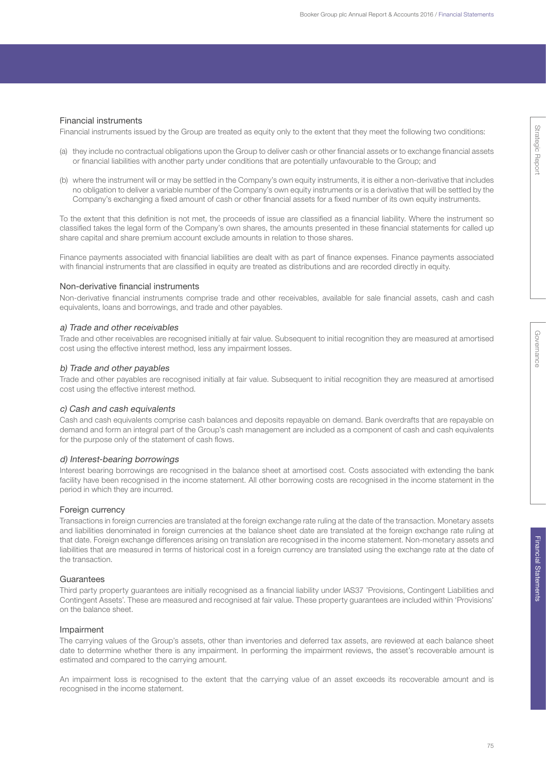## Financial instruments

Financial instruments issued by the Group are treated as equity only to the extent that they meet the following two conditions:

- (a) they include no contractual obligations upon the Group to deliver cash or other financial assets or to exchange financial assets or financial liabilities with another party under conditions that are potentially unfavourable to the Group; and
- (b) where the instrument will or may be settled in the Company's own equity instruments, it is either a non-derivative that includes no obligation to deliver a variable number of the Company's own equity instruments or is a derivative that will be settled by the Company's exchanging a fixed amount of cash or other financial assets for a fixed number of its own equity instruments.

To the extent that this definition is not met, the proceeds of issue are classified as a financial liability. Where the instrument so classified takes the legal form of the Company's own shares, the amounts presented in these financial statements for called up share capital and share premium account exclude amounts in relation to those shares.

Finance payments associated with financial liabilities are dealt with as part of finance expenses. Finance payments associated with financial instruments that are classified in equity are treated as distributions and are recorded directly in equity.

## Non-derivative financial instruments

Non-derivative financial instruments comprise trade and other receivables, available for sale financial assets, cash and cash equivalents, loans and borrowings, and trade and other payables.

#### a) Trade and other receivables

Trade and other receivables are recognised initially at fair value. Subsequent to initial recognition they are measured at amortised cost using the effective interest method, less any impairment losses.

#### b) Trade and other payables

Trade and other payables are recognised initially at fair value. Subsequent to initial recognition they are measured at amortised cost using the effective interest method.

## c) Cash and cash equivalents

Cash and cash equivalents comprise cash balances and deposits repayable on demand. Bank overdrafts that are repayable on demand and form an integral part of the Group's cash management are included as a component of cash and cash equivalents for the purpose only of the statement of cash flows.

## d) Interest-bearing borrowings

Interest bearing borrowings are recognised in the balance sheet at amortised cost. Costs associated with extending the bank facility have been recognised in the income statement. All other borrowing costs are recognised in the income statement in the period in which they are incurred.

#### Foreign currency

Transactions in foreign currencies are translated at the foreign exchange rate ruling at the date of the transaction. Monetary assets and liabilities denominated in foreign currencies at the balance sheet date are translated at the foreign exchange rate ruling at that date. Foreign exchange differences arising on translation are recognised in the income statement. Non-monetary assets and liabilities that are measured in terms of historical cost in a foreign currency are translated using the exchange rate at the date of the transaction.

#### **Guarantees**

Third party property guarantees are initially recognised as a financial liability under IAS37 'Provisions, Contingent Liabilities and Contingent Assets'. These are measured and recognised at fair value. These property guarantees are included within 'Provisions' on the balance sheet.

#### Impairment

The carrying values of the Group's assets, other than inventories and deferred tax assets, are reviewed at each balance sheet date to determine whether there is any impairment. In performing the impairment reviews, the asset's recoverable amount is estimated and compared to the carrying amount.

An impairment loss is recognised to the extent that the carrying value of an asset exceeds its recoverable amount and is recognised in the income statement.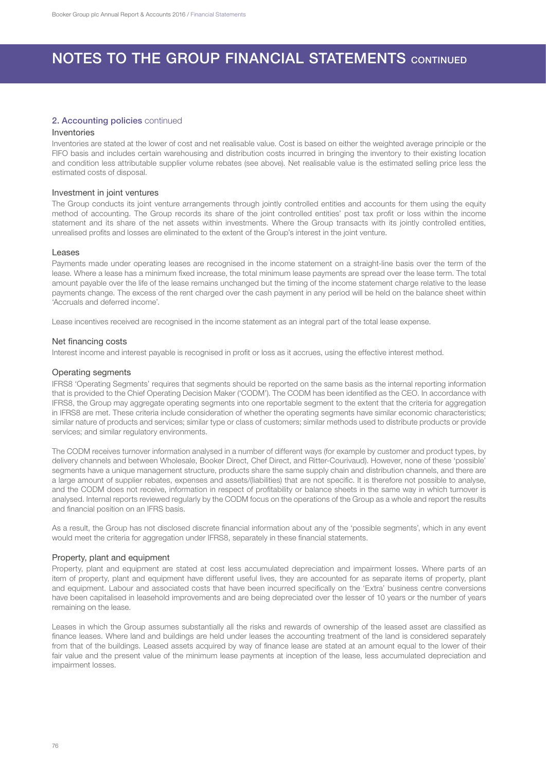### 2. Accounting policies continued

## Inventories

Inventories are stated at the lower of cost and net realisable value. Cost is based on either the weighted average principle or the FIFO basis and includes certain warehousing and distribution costs incurred in bringing the inventory to their existing location and condition less attributable supplier volume rebates (see above). Net realisable value is the estimated selling price less the estimated costs of disposal.

#### Investment in joint ventures

The Group conducts its joint venture arrangements through jointly controlled entities and accounts for them using the equity method of accounting. The Group records its share of the joint controlled entities' post tax profit or loss within the income statement and its share of the net assets within investments. Where the Group transacts with its jointly controlled entities, unrealised profits and losses are eliminated to the extent of the Group's interest in the joint venture.

#### Leases

Payments made under operating leases are recognised in the income statement on a straight-line basis over the term of the lease. Where a lease has a minimum fixed increase, the total minimum lease payments are spread over the lease term. The total amount payable over the life of the lease remains unchanged but the timing of the income statement charge relative to the lease payments change. The excess of the rent charged over the cash payment in any period will be held on the balance sheet within 'Accruals and deferred income'.

Lease incentives received are recognised in the income statement as an integral part of the total lease expense.

#### Net financing costs

Interest income and interest payable is recognised in profit or loss as it accrues, using the effective interest method.

### Operating segments

IFRS8 'Operating Segments' requires that segments should be reported on the same basis as the internal reporting information that is provided to the Chief Operating Decision Maker ('CODM'). The CODM has been identified as the CEO. In accordance with IFRS8, the Group may aggregate operating segments into one reportable segment to the extent that the criteria for aggregation in IFRS8 are met. These criteria include consideration of whether the operating segments have similar economic characteristics; similar nature of products and services; similar type or class of customers; similar methods used to distribute products or provide services; and similar regulatory environments.

The CODM receives turnover information analysed in a number of different ways (for example by customer and product types, by delivery channels and between Wholesale, Booker Direct, Chef Direct, and Ritter-Courivaud). However, none of these 'possible' segments have a unique management structure, products share the same supply chain and distribution channels, and there are a large amount of supplier rebates, expenses and assets/(liabilities) that are not specific. It is therefore not possible to analyse, and the CODM does not receive, information in respect of profitability or balance sheets in the same way in which turnover is analysed. Internal reports reviewed regularly by the CODM focus on the operations of the Group as a whole and report the results and financial position on an IFRS basis.

As a result, the Group has not disclosed discrete financial information about any of the 'possible segments', which in any event would meet the criteria for aggregation under IFRS8, separately in these financial statements.

### Property, plant and equipment

Property, plant and equipment are stated at cost less accumulated depreciation and impairment losses. Where parts of an item of property, plant and equipment have different useful lives, they are accounted for as separate items of property, plant and equipment. Labour and associated costs that have been incurred specifically on the 'Extra' business centre conversions have been capitalised in leasehold improvements and are being depreciated over the lesser of 10 years or the number of years remaining on the lease.

Leases in which the Group assumes substantially all the risks and rewards of ownership of the leased asset are classified as finance leases. Where land and buildings are held under leases the accounting treatment of the land is considered separately from that of the buildings. Leased assets acquired by way of finance lease are stated at an amount equal to the lower of their fair value and the present value of the minimum lease payments at inception of the lease, less accumulated depreciation and impairment losses.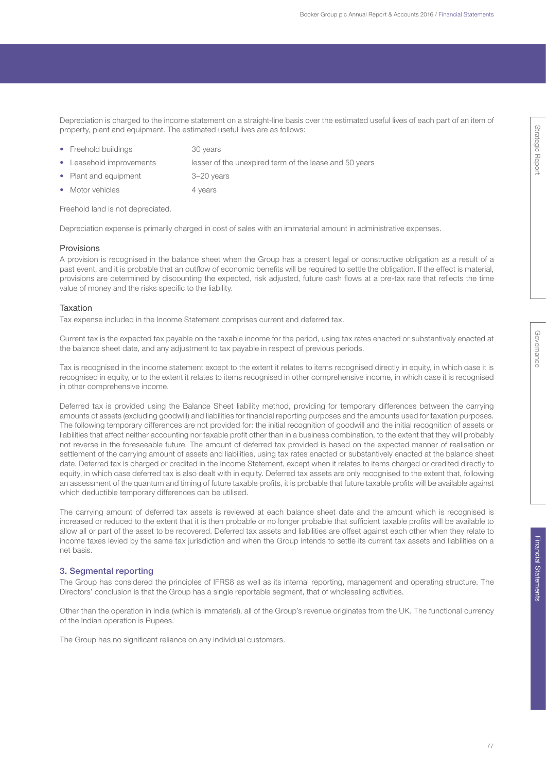Depreciation is charged to the income statement on a straight-line basis over the estimated useful lives of each part of an item of property, plant and equipment. The estimated useful lives are as follows:

• Freehold buildings 30 years

• Leasehold improvements lesser of the unexpired term of the lease and 50 years

- Plant and equipment 3–20 years
- Motor vehicles 4 years

Freehold land is not depreciated.

Depreciation expense is primarily charged in cost of sales with an immaterial amount in administrative expenses.

#### Provisions

A provision is recognised in the balance sheet when the Group has a present legal or constructive obligation as a result of a past event, and it is probable that an outflow of economic benefits will be required to settle the obligation. If the effect is material, provisions are determined by discounting the expected, risk adjusted, future cash flows at a pre-tax rate that reflects the time value of money and the risks specific to the liability.

#### Taxation

Tax expense included in the Income Statement comprises current and deferred tax.

Current tax is the expected tax payable on the taxable income for the period, using tax rates enacted or substantively enacted at the balance sheet date, and any adjustment to tax payable in respect of previous periods.

Tax is recognised in the income statement except to the extent it relates to items recognised directly in equity, in which case it is recognised in equity, or to the extent it relates to items recognised in other comprehensive income, in which case it is recognised in other comprehensive income.

Deferred tax is provided using the Balance Sheet liability method, providing for temporary differences between the carrying amounts of assets (excluding goodwill) and liabilities for financial reporting purposes and the amounts used for taxation purposes. The following temporary differences are not provided for: the initial recognition of goodwill and the initial recognition of assets or liabilities that affect neither accounting nor taxable profit other than in a business combination, to the extent that they will probably not reverse in the foreseeable future. The amount of deferred tax provided is based on the expected manner of realisation or settlement of the carrying amount of assets and liabilities, using tax rates enacted or substantively enacted at the balance sheet date. Deferred tax is charged or credited in the Income Statement, except when it relates to items charged or credited directly to equity, in which case deferred tax is also dealt with in equity. Deferred tax assets are only recognised to the extent that, following an assessment of the quantum and timing of future taxable profits, it is probable that future taxable profits will be available against which deductible temporary differences can be utilised.

The carrying amount of deferred tax assets is reviewed at each balance sheet date and the amount which is recognised is increased or reduced to the extent that it is then probable or no longer probable that sufficient taxable profits will be available to allow all or part of the asset to be recovered. Deferred tax assets and liabilities are offset against each other when they relate to income taxes levied by the same tax jurisdiction and when the Group intends to settle its current tax assets and liabilities on a net basis.

#### 3. Segmental reporting

The Group has considered the principles of IFRS8 as well as its internal reporting, management and operating structure. The Directors' conclusion is that the Group has a single reportable segment, that of wholesaling activities.

Other than the operation in India (which is immaterial), all of the Group's revenue originates from the UK. The functional currency of the Indian operation is Rupees.

The Group has no significant reliance on any individual customers.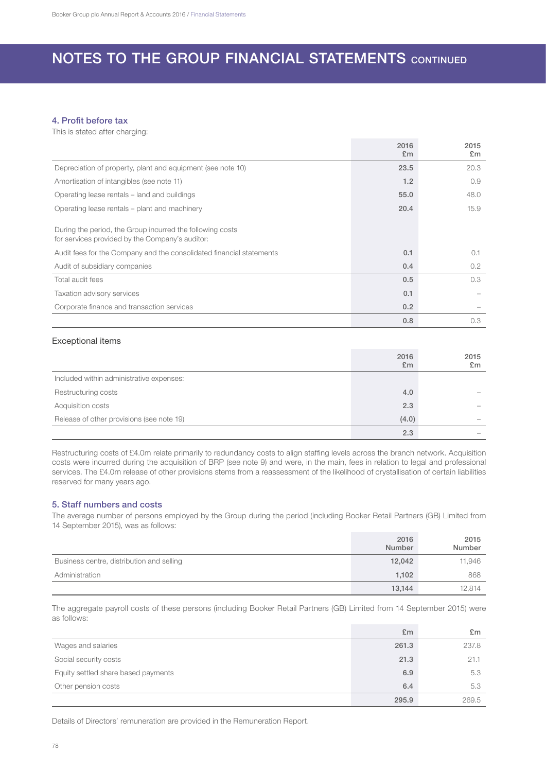## 4. Profit before tax

This is stated after charging:

|                                                                                                              | 2016<br>E <sub>m</sub> | 2015<br>E <sub>m</sub> |
|--------------------------------------------------------------------------------------------------------------|------------------------|------------------------|
| Depreciation of property, plant and equipment (see note 10)                                                  | 23.5                   | 20.3                   |
| Amortisation of intangibles (see note 11)                                                                    | 1.2                    | 0.9                    |
| Operating lease rentals – land and buildings                                                                 | 55.0                   | 48.0                   |
| Operating lease rentals – plant and machinery                                                                | 20.4                   | 15.9                   |
| During the period, the Group incurred the following costs<br>for services provided by the Company's auditor: |                        |                        |
| Audit fees for the Company and the consolidated financial statements                                         | 0.1                    | 0.1                    |
| Audit of subsidiary companies                                                                                | 0.4                    | 0.2                    |
| Total audit fees                                                                                             | 0.5                    | 0.3                    |
| Taxation advisory services                                                                                   | 0.1                    |                        |
| Corporate finance and transaction services                                                                   | 0.2                    |                        |
|                                                                                                              | 0.8                    | 0.3                    |

## Exceptional items

|                                           | 2016<br>E <sub>m</sub> | 2015<br>£m |
|-------------------------------------------|------------------------|------------|
| Included within administrative expenses:  |                        |            |
| Restructuring costs                       | 4.0                    |            |
| Acquisition costs                         | 2.3                    |            |
| Release of other provisions (see note 19) | (4.0)                  |            |
|                                           | 2.3                    |            |

Restructuring costs of £4.0m relate primarily to redundancy costs to align staffing levels across the branch network. Acquisition costs were incurred during the acquisition of BRP (see note 9) and were, in the main, fees in relation to legal and professional services. The £4.0m release of other provisions stems from a reassessment of the likelihood of crystallisation of certain liabilities reserved for many years ago.

## 5. Staff numbers and costs

The average number of persons employed by the Group during the period (including Booker Retail Partners (GB) Limited from 14 September 2015), was as follows:

|                                           | 2016<br>Number | 2015<br>Number |
|-------------------------------------------|----------------|----------------|
| Business centre, distribution and selling | 12,042         | 11,946         |
| Administration                            | 1,102          | 868            |
|                                           | 13,144         | 12,814         |

The aggregate payroll costs of these persons (including Booker Retail Partners (GB) Limited from 14 September 2015) were as follows:

|                                     | E <sub>m</sub> | £m    |
|-------------------------------------|----------------|-------|
| Wages and salaries                  | 261.3          | 237.8 |
| Social security costs               | 21.3           | 21.1  |
| Equity settled share based payments | 6.9            | 5.3   |
| Other pension costs                 | 6.4            | 5.3   |
|                                     | 295.9          | 269.5 |

Details of Directors' remuneration are provided in the Remuneration Report.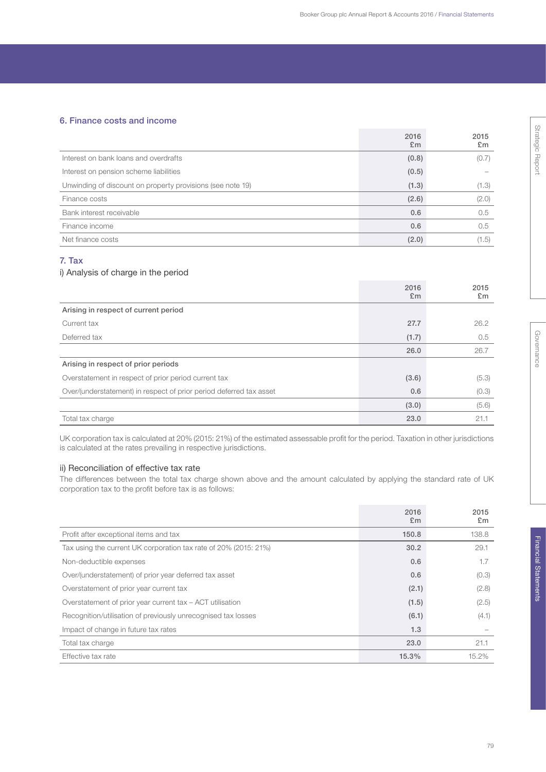## 6. Finance costs and income

|                                                            | 2016<br>E <sub>m</sub> | 2015<br>E <sub>m</sub> |
|------------------------------------------------------------|------------------------|------------------------|
| Interest on bank loans and overdrafts                      | (0.8)                  | (0.7)                  |
| Interest on pension scheme liabilities                     | (0.5)                  |                        |
| Unwinding of discount on property provisions (see note 19) | (1.3)                  | (1.3)                  |
| Finance costs                                              | (2.6)                  | (2.0)                  |
| Bank interest receivable                                   | 0.6                    | 0.5                    |
| Finance income                                             | 0.6                    | 0.5                    |
| Net finance costs                                          | (2.0)                  | (1.5)                  |

## 7. Tax

## i) Analysis of charge in the period

|                                                                     | 2016<br>E <sub>m</sub> | 2015<br>£m |
|---------------------------------------------------------------------|------------------------|------------|
| Arising in respect of current period                                |                        |            |
| Current tax                                                         | 27.7                   | 26.2       |
| Deferred tax                                                        | (1.7)                  | 0.5        |
|                                                                     | 26.0                   | 26.7       |
| Arising in respect of prior periods                                 |                        |            |
| Overstatement in respect of prior period current tax                | (3.6)                  | (5.3)      |
| Over/(understatement) in respect of prior period deferred tax asset | 0.6                    | (0.3)      |
|                                                                     | (3.0)                  | (5.6)      |
| Total tax charge                                                    | 23.0                   | 21.1       |

UK corporation tax is calculated at 20% (2015: 21%) of the estimated assessable profit for the period. Taxation in other jurisdictions is calculated at the rates prevailing in respective jurisdictions.

## ii) Reconciliation of effective tax rate

The differences between the total tax charge shown above and the amount calculated by applying the standard rate of UK corporation tax to the profit before tax is as follows:

|                                                                  | 2016<br>E <sub>m</sub> | 2015<br>£m |
|------------------------------------------------------------------|------------------------|------------|
| Profit after exceptional items and tax                           | 150.8                  | 138.8      |
| Tax using the current UK corporation tax rate of 20% (2015: 21%) | 30.2                   | 29.1       |
| Non-deductible expenses                                          | 0.6                    | 1.7        |
| Over/(understatement) of prior year deferred tax asset           | 0.6                    | (0.3)      |
| Overstatement of prior year current tax                          | (2.1)                  | (2.8)      |
| Overstatement of prior year current tax - ACT utilisation        | (1.5)                  | (2.5)      |
| Recognition/utilisation of previously unrecognised tax losses    | (6.1)                  | (4.1)      |
| Impact of change in future tax rates                             | 1.3                    |            |
| Total tax charge                                                 | 23.0                   | 21.1       |
| Effective tax rate                                               | 15.3%                  | 15.2%      |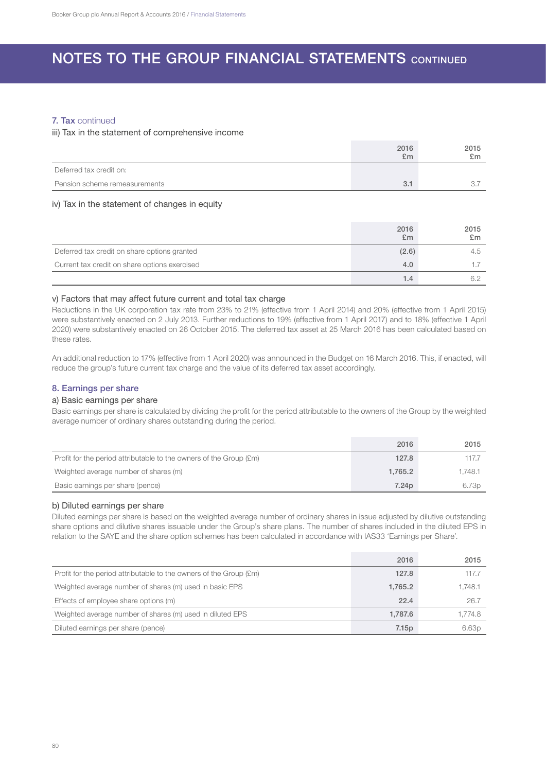## 7. Tax continued

## iii) Tax in the statement of comprehensive income

|                               | 2016<br>£m | 2015<br>£m |
|-------------------------------|------------|------------|
| Deferred tax credit on:       |            |            |
| Pension scheme remeasurements | 3.1        | ◡          |

## iv) Tax in the statement of changes in equity

|                                               | 2016<br>£m | 2015<br>£m |
|-----------------------------------------------|------------|------------|
| Deferred tax credit on share options granted  | (2.6)      | 4.5        |
| Current tax credit on share options exercised | 4.0        |            |
|                                               | 1.4        |            |

## v) Factors that may affect future current and total tax charge

Reductions in the UK corporation tax rate from 23% to 21% (effective from 1 April 2014) and 20% (effective from 1 April 2015) were substantively enacted on 2 July 2013. Further reductions to 19% (effective from 1 April 2017) and to 18% (effective 1 April 2020) were substantively enacted on 26 October 2015. The deferred tax asset at 25 March 2016 has been calculated based on these rates.

An additional reduction to 17% (effective from 1 April 2020) was announced in the Budget on 16 March 2016. This, if enacted, will reduce the group's future current tax charge and the value of its deferred tax asset accordingly.

## 8. Earnings per share

## a) Basic earnings per share

Basic earnings per share is calculated by dividing the profit for the period attributable to the owners of the Group by the weighted average number of ordinary shares outstanding during the period.

|                                                                    | 2016              | 2015    |
|--------------------------------------------------------------------|-------------------|---------|
| Profit for the period attributable to the owners of the Group (£m) | 127.8             | 117.7   |
| Weighted average number of shares (m)                              | 1.765.2           | 1.748.1 |
| Basic earnings per share (pence)                                   | 7.24 <sub>p</sub> | 6.73p   |

## b) Diluted earnings per share

Diluted earnings per share is based on the weighted average number of ordinary shares in issue adjusted by dilutive outstanding share options and dilutive shares issuable under the Group's share plans. The number of shares included in the diluted EPS in relation to the SAYE and the share option schemes has been calculated in accordance with IAS33 'Earnings per Share'.

|                                                                    | 2016    | 2015    |
|--------------------------------------------------------------------|---------|---------|
| Profit for the period attributable to the owners of the Group (£m) | 127.8   | 117.7   |
| Weighted average number of shares (m) used in basic EPS            | 1,765.2 | 1.748.1 |
| Effects of employee share options (m)                              | 22.4    | 26.7    |
| Weighted average number of shares (m) used in diluted EPS          | 1.787.6 | 1.774.8 |
| Diluted earnings per share (pence)                                 | 7.15p   | 6.63p   |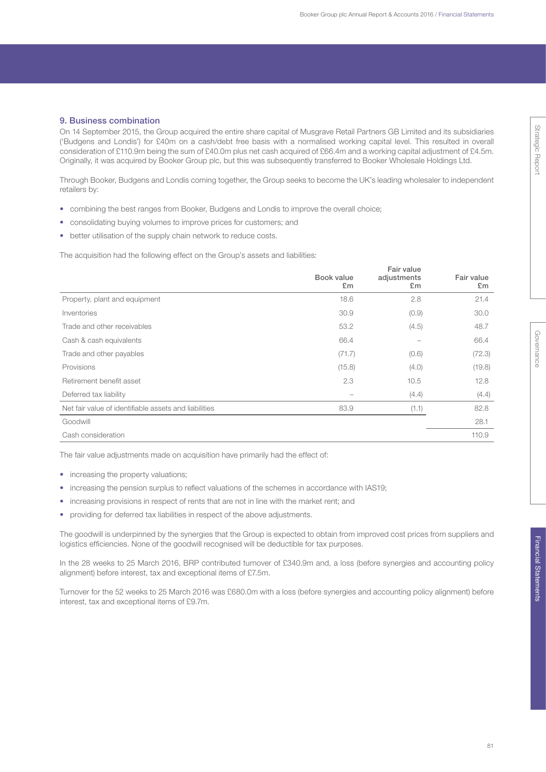## 9. Business combination

On 14 September 2015, the Group acquired the entire share capital of Musgrave Retail Partners GB Limited and its subsidiaries ('Budgens and Londis') for £40m on a cash/debt free basis with a normalised working capital level. This resulted in overall consideration of £110.9m being the sum of £40.0m plus net cash acquired of £66.4m and a working capital adjustment of £4.5m. Originally, it was acquired by Booker Group plc, but this was subsequently transferred to Booker Wholesale Holdings Ltd.

Through Booker, Budgens and Londis coming together, the Group seeks to become the UK's leading wholesaler to independent retailers by:

- combining the best ranges from Booker, Budgens and Londis to improve the overall choice;
- consolidating buying volumes to improve prices for customers; and
- better utilisation of the supply chain network to reduce costs.

The acquisition had the following effect on the Group's assets and liabilities:

|                                                       | Book value<br>£m | Fair value<br>adjustments<br>£m | Fair value<br>£m |
|-------------------------------------------------------|------------------|---------------------------------|------------------|
| Property, plant and equipment                         | 18.6             | 2.8                             | 21.4             |
| Inventories                                           | 30.9             | (0.9)                           | 30.0             |
| Trade and other receivables                           | 53.2             | (4.5)                           | 48.7             |
| Cash & cash equivalents                               | 66.4             |                                 | 66.4             |
| Trade and other payables                              | (71.7)           | (0.6)                           | (72.3)           |
| Provisions                                            | (15.8)           | (4.0)                           | (19.8)           |
| Retirement benefit asset                              | 2.3              | 10.5                            | 12.8             |
| Deferred tax liability                                |                  | (4.4)                           | (4.4)            |
| Net fair value of identifiable assets and liabilities | 83.9             | (1.1)                           | 82.8             |
| Goodwill                                              |                  |                                 | 28.1             |
| Cash consideration                                    |                  |                                 | 110.9            |

The fair value adjustments made on acquisition have primarily had the effect of:

- increasing the property valuations;
- increasing the pension surplus to reflect valuations of the schemes in accordance with IAS19;
- increasing provisions in respect of rents that are not in line with the market rent; and
- providing for deferred tax liabilities in respect of the above adjustments.

The goodwill is underpinned by the synergies that the Group is expected to obtain from improved cost prices from suppliers and logistics efficiencies. None of the goodwill recognised will be deductible for tax purposes.

In the 28 weeks to 25 March 2016, BRP contributed turnover of £340.9m and, a loss (before synergies and accounting policy alignment) before interest, tax and exceptional items of £7.5m.

Turnover for the 52 weeks to 25 March 2016 was £680.0m with a loss (before synergies and accounting policy alignment) before interest, tax and exceptional items of £9.7m.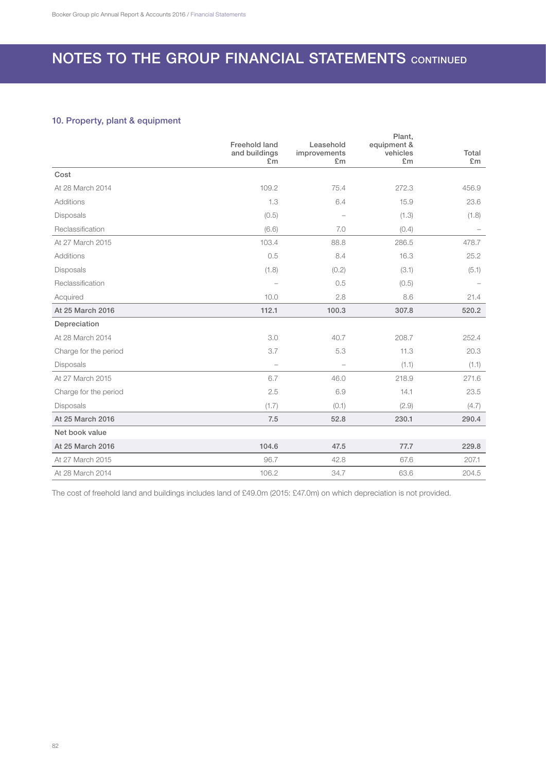## 10. Property, plant & equipment

|                       | <b>Freehold land</b><br>and buildings<br>E <sub>m</sub> | Leasehold<br>improvements<br>£m | Plant,<br>equipment &<br>vehicles<br>£m | Total<br>£m |
|-----------------------|---------------------------------------------------------|---------------------------------|-----------------------------------------|-------------|
| Cost                  |                                                         |                                 |                                         |             |
| At 28 March 2014      | 109.2                                                   | 75.4                            | 272.3                                   | 456.9       |
| Additions             | 1.3                                                     | 6.4                             | 15.9                                    | 23.6        |
| Disposals             | (0.5)                                                   |                                 | (1.3)                                   | (1.8)       |
| Reclassification      | (6.6)                                                   | 7.0                             | (0.4)                                   |             |
| At 27 March 2015      | 103.4                                                   | 88.8                            | 286.5                                   | 478.7       |
| Additions             | 0.5                                                     | 8.4                             | 16.3                                    | 25.2        |
| Disposals             | (1.8)                                                   | (0.2)                           | (3.1)                                   | (5.1)       |
| Reclassification      | $\overline{\phantom{0}}$                                | 0.5                             | (0.5)                                   |             |
| Acquired              | 10.0                                                    | 2.8                             | 8.6                                     | 21.4        |
| At 25 March 2016      | 112.1                                                   | 100.3                           | 307.8                                   | 520.2       |
| Depreciation          |                                                         |                                 |                                         |             |
| At 28 March 2014      | 3.0                                                     | 40.7                            | 208.7                                   | 252.4       |
| Charge for the period | 3.7                                                     | 5.3                             | 11.3                                    | 20.3        |
| <b>Disposals</b>      | L.                                                      | $\overline{\phantom{a}}$        | (1.1)                                   | (1.1)       |
| At 27 March 2015      | 6.7                                                     | 46.0                            | 218.9                                   | 271.6       |
| Charge for the period | 2.5                                                     | 6.9                             | 14.1                                    | 23.5        |
| Disposals             | (1.7)                                                   | (0.1)                           | (2.9)                                   | (4.7)       |
| At 25 March 2016      | 7.5                                                     | 52.8                            | 230.1                                   | 290.4       |
| Net book value        |                                                         |                                 |                                         |             |
| At 25 March 2016      | 104.6                                                   | 47.5                            | 77.7                                    | 229.8       |
| At 27 March 2015      | 96.7                                                    | 42.8                            | 67.6                                    | 207.1       |
| At 28 March 2014      | 106.2                                                   | 34.7                            | 63.6                                    | 204.5       |

The cost of freehold land and buildings includes land of £49.0m (2015: £47.0m) on which depreciation is not provided.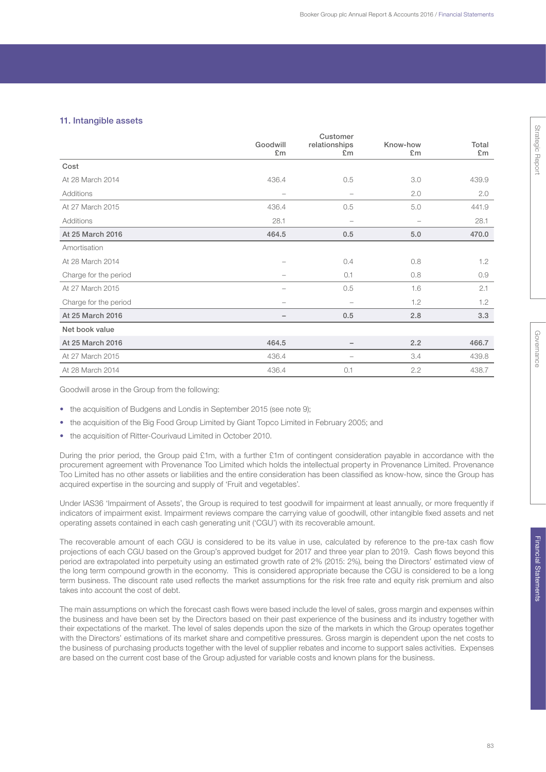## 11. Intangible assets

|                       |                                                                           | Customer                 |                          |       |
|-----------------------|---------------------------------------------------------------------------|--------------------------|--------------------------|-------|
|                       | Goodwill                                                                  | relationships            | Know-how                 | Total |
|                       | £m                                                                        | E <sub>m</sub>           | £m                       | £m    |
| Cost                  |                                                                           |                          |                          |       |
| At 28 March 2014      | 436.4                                                                     | 0.5                      | 3.0                      | 439.9 |
| Additions             | $\overline{\phantom{a}}$                                                  | $\overline{\phantom{0}}$ | 2.0                      | 2.0   |
| At 27 March 2015      | 436.4                                                                     | 0.5                      | 5.0                      | 441.9 |
| Additions             | 28.1                                                                      | $\overline{\phantom{0}}$ | $\overline{\phantom{0}}$ | 28.1  |
| At 25 March 2016      | 464.5                                                                     | 0.5                      | 5.0                      | 470.0 |
| Amortisation          |                                                                           |                          |                          |       |
| At 28 March 2014      |                                                                           | 0.4                      | 0.8                      | 1.2   |
| Charge for the period | $\hspace{1.0cm} \rule{1.5cm}{0.15cm} \hspace{1.0cm} \rule{1.5cm}{0.15cm}$ | 0.1                      | 0.8                      | 0.9   |
| At 27 March 2015      |                                                                           | 0.5                      | 1.6                      | 2.1   |
| Charge for the period | $\overline{\phantom{m}}$                                                  | $\overline{\phantom{m}}$ | 1.2                      | 1.2   |
| At 25 March 2016      | $\qquad \qquad -$                                                         | 0.5                      | 2.8                      | 3.3   |
| Net book value        |                                                                           |                          |                          |       |
| At 25 March 2016      | 464.5                                                                     | $\qquad \qquad -$        | 2.2                      | 466.7 |
| At 27 March 2015      | 436.4                                                                     | -                        | 3.4                      | 439.8 |
| At 28 March 2014      | 436.4                                                                     | 0.1                      | 2.2                      | 438.7 |

Goodwill arose in the Group from the following:

- the acquisition of Budgens and Londis in September 2015 (see note 9);
- the acquisition of the Big Food Group Limited by Giant Topco Limited in February 2005; and
- the acquisition of Ritter-Courivaud Limited in October 2010.

During the prior period, the Group paid £1m, with a further £1m of contingent consideration payable in accordance with the procurement agreement with Provenance Too Limited which holds the intellectual property in Provenance Limited. Provenance Too Limited has no other assets or liabilities and the entire consideration has been classified as know-how, since the Group has acquired expertise in the sourcing and supply of 'Fruit and vegetables'.

Under IAS36 'Impairment of Assets', the Group is required to test goodwill for impairment at least annually, or more frequently if indicators of impairment exist. Impairment reviews compare the carrying value of goodwill, other intangible fixed assets and net operating assets contained in each cash generating unit ('CGU') with its recoverable amount.

The recoverable amount of each CGU is considered to be its value in use, calculated by reference to the pre-tax cash flow projections of each CGU based on the Group's approved budget for 2017 and three year plan to 2019. Cash flows beyond this period are extrapolated into perpetuity using an estimated growth rate of 2% (2015: 2%), being the Directors' estimated view of the long term compound growth in the economy. This is considered appropriate because the CGU is considered to be a long term business. The discount rate used reflects the market assumptions for the risk free rate and equity risk premium and also takes into account the cost of debt.

The main assumptions on which the forecast cash flows were based include the level of sales, gross margin and expenses within the business and have been set by the Directors based on their past experience of the business and its industry together with their expectations of the market. The level of sales depends upon the size of the markets in which the Group operates together with the Directors' estimations of its market share and competitive pressures. Gross margin is dependent upon the net costs to the business of purchasing products together with the level of supplier rebates and income to support sales activities. Expenses are based on the current cost base of the Group adjusted for variable costs and known plans for the business.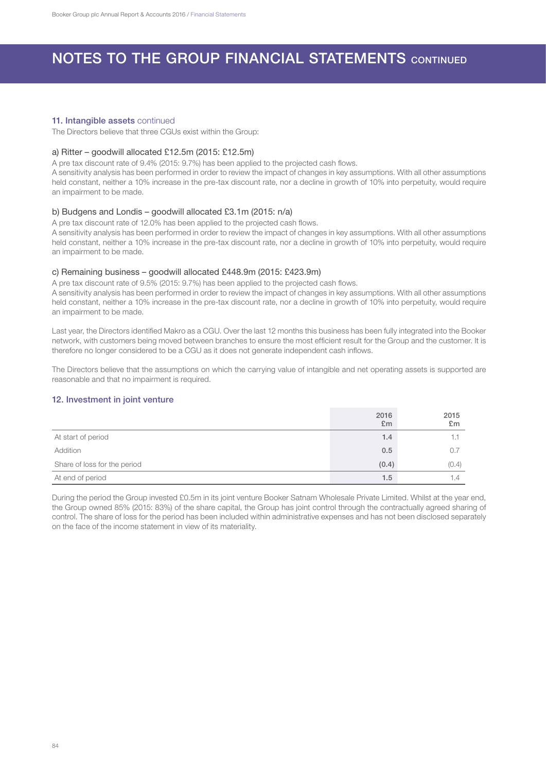### 11. Intangible assets continued

The Directors believe that three CGUs exist within the Group:

#### a) Ritter – goodwill allocated £12.5m (2015: £12.5m)

A pre tax discount rate of 9.4% (2015: 9.7%) has been applied to the projected cash flows.

A sensitivity analysis has been performed in order to review the impact of changes in key assumptions. With all other assumptions held constant, neither a 10% increase in the pre-tax discount rate, nor a decline in growth of 10% into perpetuity, would require an impairment to be made.

#### b) Budgens and Londis – goodwill allocated £3.1m (2015: n/a)

A pre tax discount rate of 12.0% has been applied to the projected cash flows.

A sensitivity analysis has been performed in order to review the impact of changes in key assumptions. With all other assumptions held constant, neither a 10% increase in the pre-tax discount rate, nor a decline in growth of 10% into perpetuity, would require an impairment to be made.

### c) Remaining business – goodwill allocated £448.9m (2015: £423.9m)

A pre tax discount rate of 9.5% (2015: 9.7%) has been applied to the projected cash flows.

A sensitivity analysis has been performed in order to review the impact of changes in key assumptions. With all other assumptions held constant, neither a 10% increase in the pre-tax discount rate, nor a decline in growth of 10% into perpetuity, would require an impairment to be made.

Last year, the Directors identified Makro as a CGU. Over the last 12 months this business has been fully integrated into the Booker network, with customers being moved between branches to ensure the most efficient result for the Group and the customer. It is therefore no longer considered to be a CGU as it does not generate independent cash inflows.

The Directors believe that the assumptions on which the carrying value of intangible and net operating assets is supported are reasonable and that no impairment is required.

## 12. Investment in joint venture

|                              | 2016<br>E <sub>m</sub> | 2015<br>£m |
|------------------------------|------------------------|------------|
| At start of period           | 1.4                    |            |
| Addition                     | 0.5                    | 0.7        |
| Share of loss for the period | (0.4)                  | (0.4)      |
| At end of period             | 1.5                    | 1.4        |

During the period the Group invested £0.5m in its joint venture Booker Satnam Wholesale Private Limited. Whilst at the year end, the Group owned 85% (2015: 83%) of the share capital, the Group has joint control through the contractually agreed sharing of control. The share of loss for the period has been included within administrative expenses and has not been disclosed separately on the face of the income statement in view of its materiality.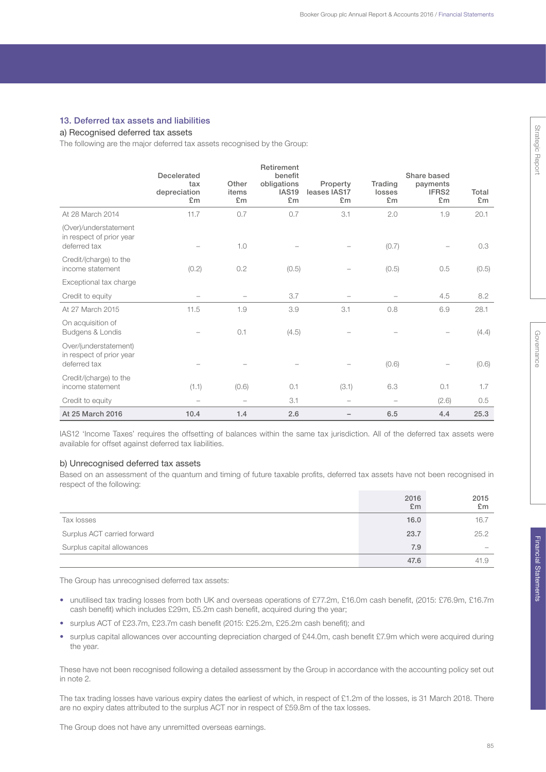#### 13. Deferred tax assets and liabilities

## a) Recognised deferred tax assets

The following are the major deferred tax assets recognised by the Group:

|                                                                   | <b>Decelerated</b>        |                          | Retirement<br>benefit                  |                                |                         | Share based             |             |
|-------------------------------------------------------------------|---------------------------|--------------------------|----------------------------------------|--------------------------------|-------------------------|-------------------------|-------------|
|                                                                   | tax<br>depreciation<br>£m | Other<br>items<br>£m     | obligations<br>IAS <sub>19</sub><br>£m | Property<br>leases IAS17<br>£m | Trading<br>losses<br>£m | payments<br>IFRS2<br>£m | Total<br>£m |
| At 28 March 2014                                                  | 11.7                      | 0.7                      | 0.7                                    | 3.1                            | 2.0                     | 1.9                     | 20.1        |
| (Over)/understatement<br>in respect of prior year<br>deferred tax |                           | 1.0                      |                                        |                                | (0.7)                   |                         | 0.3         |
| Credit/(charge) to the<br>income statement                        | (0.2)                     | 0.2                      | (0.5)                                  |                                | (0.5)                   | 0.5                     | (0.5)       |
| Exceptional tax charge                                            |                           |                          |                                        |                                |                         |                         |             |
| Credit to equity                                                  |                           |                          | 3.7                                    |                                |                         | 4.5                     | 8.2         |
| At 27 March 2015                                                  | 11.5                      | 1.9                      | 3.9                                    | 3.1                            | 0.8                     | 6.9                     | 28.1        |
| On acquisition of<br>Budgens & Londis                             |                           | 0.1                      | (4.5)                                  |                                |                         |                         | (4.4)       |
| Over/(understatement)<br>in respect of prior year<br>deferred tax |                           |                          |                                        |                                | (0.6)                   |                         | (0.6)       |
| Credit/(charge) to the<br>income statement                        | (1.1)                     | (0.6)                    | 0.1                                    | (3.1)                          | 6.3                     | 0.1                     | 1.7         |
| Credit to equity                                                  |                           | $\overline{\phantom{m}}$ | 3.1                                    |                                |                         | (2.6)                   | 0.5         |
| At 25 March 2016                                                  | 10.4                      | 1.4                      | 2.6                                    |                                | 6.5                     | 4.4                     | 25.3        |

IAS12 'Income Taxes' requires the offsetting of balances within the same tax jurisdiction. All of the deferred tax assets were available for offset against deferred tax liabilities.

#### b) Unrecognised deferred tax assets

Based on an assessment of the quantum and timing of future taxable profits, deferred tax assets have not been recognised in respect of the following:

|                             | 2016<br>£m | 2015<br>E <sub>m</sub> |
|-----------------------------|------------|------------------------|
| Tax losses                  | 16.0       | 16.7                   |
| Surplus ACT carried forward | 23.7       | 25.2                   |
| Surplus capital allowances  | 7.9        | $\hspace{0.5cm}$       |
|                             | 47.6       | 41.9                   |

The Group has unrecognised deferred tax assets:

- unutilised tax trading losses from both UK and overseas operations of £77.2m, £16.0m cash benefit, (2015: £76.9m, £16.7m cash benefit) which includes £29m, £5.2m cash benefit, acquired during the year;
- surplus ACT of £23.7m, £23.7m cash benefit (2015: £25.2m, £25.2m cash benefit); and
- surplus capital allowances over accounting depreciation charged of £44.0m, cash benefit £7.9m which were acquired during the year.

These have not been recognised following a detailed assessment by the Group in accordance with the accounting policy set out in note 2.

The tax trading losses have various expiry dates the earliest of which, in respect of £1.2m of the losses, is 31 March 2018. There are no expiry dates attributed to the surplus ACT nor in respect of £59.8m of the tax losses.

The Group does not have any unremitted overseas earnings.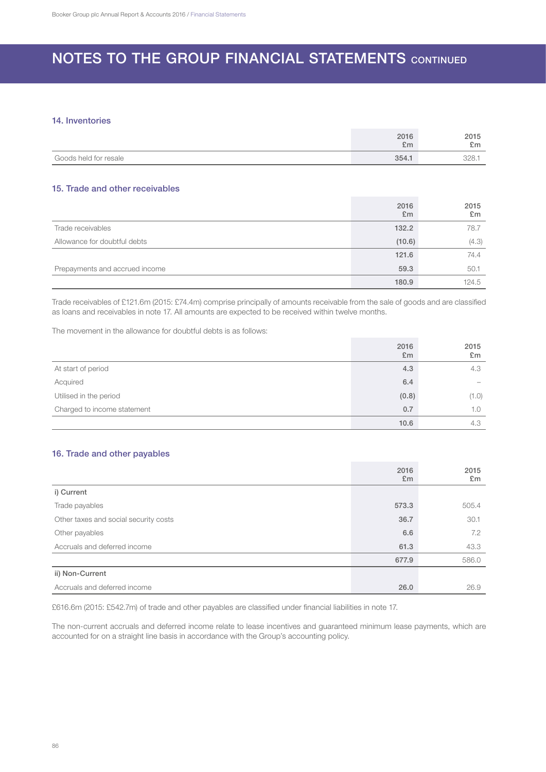## 14. Inventories

|                       | 2016<br>£m | 2015<br>$\mathcal{L}_{\mathbf{m}}$<br>ᅬ |
|-----------------------|------------|-----------------------------------------|
| Goods held for resale | 354.1      | 328.                                    |

## 15. Trade and other receivables

|                                | 2016<br>E <sub>m</sub> | 2015<br>£m |
|--------------------------------|------------------------|------------|
| Trade receivables              | 132.2                  | 78.7       |
| Allowance for doubtful debts   | (10.6)                 | (4.3)      |
|                                | 121.6                  | 74.4       |
| Prepayments and accrued income | 59.3                   | 50.1       |
|                                | 180.9                  | 124.5      |

Trade receivables of £121.6m (2015: £74.4m) comprise principally of amounts receivable from the sale of goods and are classified as loans and receivables in note 17. All amounts are expected to be received within twelve months.

The movement in the allowance for doubtful debts is as follows:

|                             | 2016<br>E <sub>m</sub> | 2015<br>£m |
|-----------------------------|------------------------|------------|
| At start of period          | 4.3                    | 4.3        |
| Acquired                    | 6.4                    |            |
| Utilised in the period      | (0.8)                  | (1.0)      |
| Charged to income statement | 0.7                    | 1.0        |
|                             | 10.6                   | 4.3        |

## 16. Trade and other payables

|                                       | 2016<br>E <sub>m</sub> | 2015<br>£m |
|---------------------------------------|------------------------|------------|
| i) Current                            |                        |            |
| Trade payables                        | 573.3                  | 505.4      |
| Other taxes and social security costs | 36.7                   | 30.1       |
| Other payables                        | 6.6                    | 7.2        |
| Accruals and deferred income          | 61.3                   | 43.3       |
|                                       | 677.9                  | 586.0      |
| ii) Non-Current                       |                        |            |
| Accruals and deferred income          | 26.0                   | 26.9       |

£616.6m (2015: £542.7m) of trade and other payables are classified under financial liabilities in note 17.

The non-current accruals and deferred income relate to lease incentives and guaranteed minimum lease payments, which are accounted for on a straight line basis in accordance with the Group's accounting policy.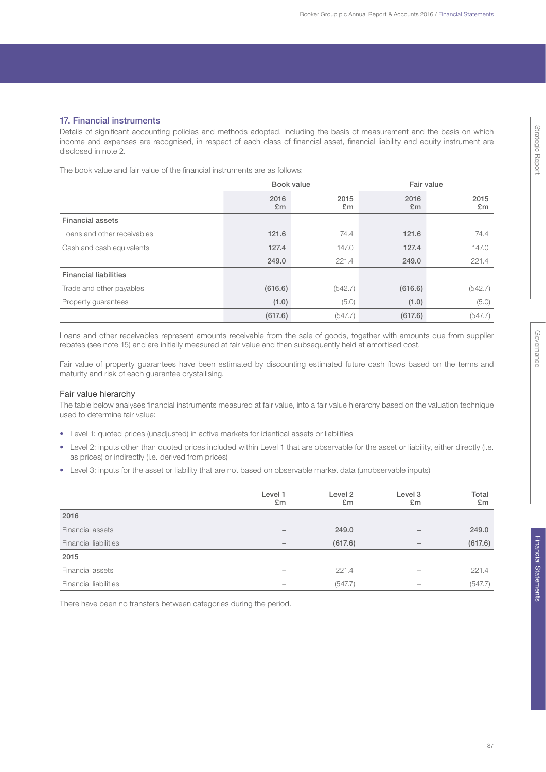## 17. Financial instruments

Details of significant accounting policies and methods adopted, including the basis of measurement and the basis on which income and expenses are recognised, in respect of each class of financial asset, financial liability and equity instrument are disclosed in note 2.

The book value and fair value of the financial instruments are as follows:

|                              | Book value             |            | Fair value             |                        |
|------------------------------|------------------------|------------|------------------------|------------------------|
|                              | 2016<br>E <sub>m</sub> | 2015<br>£m | 2016<br>E <sub>m</sub> | 2015<br>E <sub>m</sub> |
| <b>Financial assets</b>      |                        |            |                        |                        |
| Loans and other receivables  | 121.6                  | 74.4       | 121.6                  | 74.4                   |
| Cash and cash equivalents    | 127.4                  | 147.0      | 127.4                  | 147.0                  |
|                              | 249.0                  | 221.4      | 249.0                  | 221.4                  |
| <b>Financial liabilities</b> |                        |            |                        |                        |
| Trade and other payables     | (616.6)                | (542.7)    | (616.6)                | (542.7)                |
| Property guarantees          | (1.0)                  | (5.0)      | (1.0)                  | (5.0)                  |
|                              | (617.6)                | (547.7)    | (617.6)                | (547.7)                |

Loans and other receivables represent amounts receivable from the sale of goods, together with amounts due from supplier rebates (see note 15) and are initially measured at fair value and then subsequently held at amortised cost.

Fair value of property guarantees have been estimated by discounting estimated future cash flows based on the terms and maturity and risk of each guarantee crystallising.

## Fair value hierarchy

The table below analyses financial instruments measured at fair value, into a fair value hierarchy based on the valuation technique used to determine fair value:

- Level 1: quoted prices (unadjusted) in active markets for identical assets or liabilities
- Level 2: inputs other than quoted prices included within Level 1 that are observable for the asset or liability, either directly (i.e. as prices) or indirectly (i.e. derived from prices)
- Level 3: inputs for the asset or liability that are not based on observable market data (unobservable inputs)

|                              | Level 1<br>£m            | Level 2<br>£m | Level 3<br>£m | Total<br>£m |
|------------------------------|--------------------------|---------------|---------------|-------------|
| 2016                         |                          |               |               |             |
| Financial assets             | $\overline{\phantom{0}}$ | 249.0         |               | 249.0       |
| <b>Financial liabilities</b> | $\qquad \qquad -$        | (617.6)       |               | (617.6)     |
| 2015                         |                          |               |               |             |
| Financial assets             | $\overline{\phantom{a}}$ | 221.4         |               | 221.4       |
| <b>Financial liabilities</b> |                          | (547.7)       |               | (547.7)     |

There have been no transfers between categories during the period.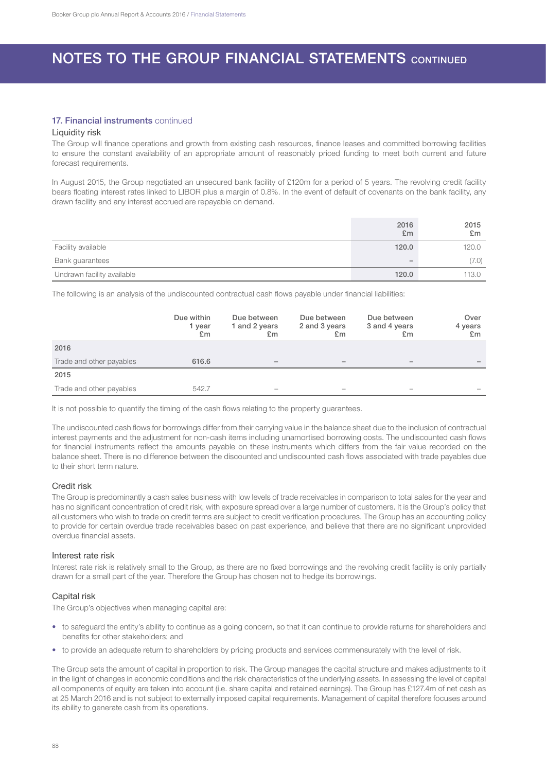## 17. Financial instruments continued

### Liquidity risk

The Group will finance operations and growth from existing cash resources, finance leases and committed borrowing facilities to ensure the constant availability of an appropriate amount of reasonably priced funding to meet both current and future forecast requirements.

In August 2015, the Group negotiated an unsecured bank facility of £120m for a period of 5 years. The revolving credit facility bears floating interest rates linked to LIBOR plus a margin of 0.8%. In the event of default of covenants on the bank facility, any drawn facility and any interest accrued are repayable on demand.

|                            | 2016<br>E <sub>m</sub> | 2015<br>E <sub>m</sub> |
|----------------------------|------------------------|------------------------|
| Facility available         | 120.0                  | 120.0                  |
| Bank guarantees            |                        | (7.0)                  |
| Undrawn facility available | 120.0                  | 113.0                  |

The following is an analysis of the undiscounted contractual cash flows payable under financial liabilities:

|                          | Due within<br>1 year<br>£m | Due between<br>1 and 2 years<br>£m | Due between<br>2 and 3 years<br>£m | Due between<br>3 and 4 years<br>£m | Over<br>4 years<br>£m    |
|--------------------------|----------------------------|------------------------------------|------------------------------------|------------------------------------|--------------------------|
| 2016                     |                            |                                    |                                    |                                    |                          |
| Trade and other payables | 616.6                      | $\overline{\phantom{0}}$           | -                                  | -                                  | $\overline{\phantom{a}}$ |
| 2015                     |                            |                                    |                                    |                                    |                          |
| Trade and other payables | 542.7                      |                                    |                                    |                                    |                          |

It is not possible to quantify the timing of the cash flows relating to the property guarantees.

The undiscounted cash flows for borrowings differ from their carrying value in the balance sheet due to the inclusion of contractual interest payments and the adjustment for non-cash items including unamortised borrowing costs. The undiscounted cash flows for financial instruments reflect the amounts payable on these instruments which differs from the fair value recorded on the balance sheet. There is no difference between the discounted and undiscounted cash flows associated with trade payables due to their short term nature.

### Credit risk

The Group is predominantly a cash sales business with low levels of trade receivables in comparison to total sales for the year and has no significant concentration of credit risk, with exposure spread over a large number of customers. It is the Group's policy that all customers who wish to trade on credit terms are subject to credit verification procedures. The Group has an accounting policy to provide for certain overdue trade receivables based on past experience, and believe that there are no significant unprovided overdue financial assets.

#### Interest rate risk

Interest rate risk is relatively small to the Group, as there are no fixed borrowings and the revolving credit facility is only partially drawn for a small part of the year. Therefore the Group has chosen not to hedge its borrowings.

### Capital risk

The Group's objectives when managing capital are:

- to safeguard the entity's ability to continue as a going concern, so that it can continue to provide returns for shareholders and benefits for other stakeholders; and
- to provide an adequate return to shareholders by pricing products and services commensurately with the level of risk.

The Group sets the amount of capital in proportion to risk. The Group manages the capital structure and makes adjustments to it in the light of changes in economic conditions and the risk characteristics of the underlying assets. In assessing the level of capital all components of equity are taken into account (i.e. share capital and retained earnings). The Group has £127.4m of net cash as at 25 March 2016 and is not subject to externally imposed capital requirements. Management of capital therefore focuses around its ability to generate cash from its operations.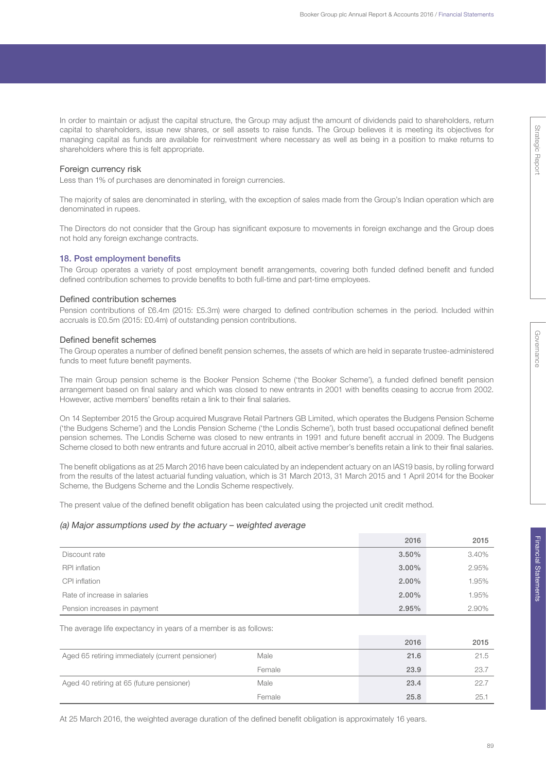In order to maintain or adjust the capital structure, the Group may adjust the amount of dividends paid to shareholders, return capital to shareholders, issue new shares, or sell assets to raise funds. The Group believes it is meeting its objectives for managing capital as funds are available for reinvestment where necessary as well as being in a position to make returns to shareholders where this is felt appropriate.

#### Foreign currency risk

Less than 1% of purchases are denominated in foreign currencies.

The majority of sales are denominated in sterling, with the exception of sales made from the Group's Indian operation which are denominated in rupees.

The Directors do not consider that the Group has significant exposure to movements in foreign exchange and the Group does not hold any foreign exchange contracts.

#### 18. Post employment benefits

The Group operates a variety of post employment benefit arrangements, covering both funded defined benefit and funded defined contribution schemes to provide benefits to both full-time and part-time employees.

## Defined contribution schemes

Pension contributions of £6.4m (2015: £5.3m) were charged to defined contribution schemes in the period. Included within accruals is £0.5m (2015: £0.4m) of outstanding pension contributions.

#### Defined benefit schemes

The Group operates a number of defined benefit pension schemes, the assets of which are held in separate trustee-administered funds to meet future benefit payments.

The main Group pension scheme is the Booker Pension Scheme ('the Booker Scheme'), a funded defined benefit pension arrangement based on final salary and which was closed to new entrants in 2001 with benefits ceasing to accrue from 2002. However, active members' benefits retain a link to their final salaries.

On 14 September 2015 the Group acquired Musgrave Retail Partners GB Limited, which operates the Budgens Pension Scheme ('the Budgens Scheme') and the Londis Pension Scheme ('the Londis Scheme'), both trust based occupational defined benefit pension schemes. The Londis Scheme was closed to new entrants in 1991 and future benefit accrual in 2009. The Budgens Scheme closed to both new entrants and future accrual in 2010, albeit active member's benefits retain a link to their final salaries.

The benefit obligations as at 25 March 2016 have been calculated by an independent actuary on an IAS19 basis, by rolling forward from the results of the latest actuarial funding valuation, which is 31 March 2013, 31 March 2015 and 1 April 2014 for the Booker Scheme, the Budgens Scheme and the Londis Scheme respectively.

The present value of the defined benefit obligation has been calculated using the projected unit credit method.

#### (a) Major assumptions used by the actuary – weighted average

|                              | 2016     | 2015  |
|------------------------------|----------|-------|
| Discount rate                | 3.50%    | 3.40% |
| <b>RPI</b> inflation         | $3.00\%$ | 2.95% |
| CPI inflation                | $2.00\%$ | 1.95% |
| Rate of increase in salaries | $2.00\%$ | 1.95% |
| Pension increases in payment | 2.95%    | 2.90% |

#### The average life expectancy in years of a member is as follows:

|                                                  |        | 2016 | 2015 |
|--------------------------------------------------|--------|------|------|
| Aged 65 retiring immediately (current pensioner) | Male   | 21.6 | 21.5 |
|                                                  | Female | 23.9 | 23.7 |
| Aged 40 retiring at 65 (future pensioner)        | Male   | 23.4 | 22.7 |
|                                                  | Female | 25.8 | 25.7 |

At 25 March 2016, the weighted average duration of the defined benefit obligation is approximately 16 years.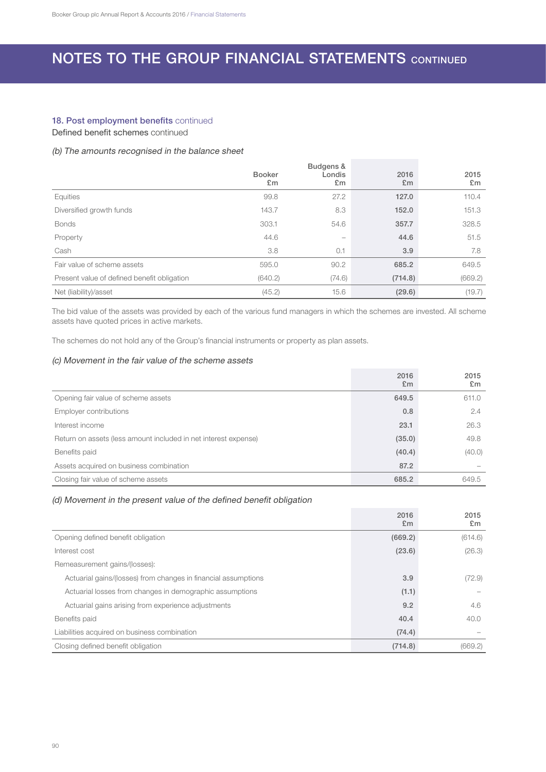## 18. Post employment benefits continued

Defined benefit schemes continued

## (b) The amounts recognised in the balance sheet

|                                             | <b>Booker</b><br>£m | Budgens &<br>Londis<br>£m | 2016<br>E <sub>m</sub> | 2015<br>£m |
|---------------------------------------------|---------------------|---------------------------|------------------------|------------|
| Equities                                    | 99.8                | 27.2                      | 127.0                  | 110.4      |
| Diversified growth funds                    | 143.7               | 8.3                       | 152.0                  | 151.3      |
| <b>Bonds</b>                                | 303.1               | 54.6                      | 357.7                  | 328.5      |
| Property                                    | 44.6                | -                         | 44.6                   | 51.5       |
| Cash                                        | 3.8                 | 0.1                       | 3.9                    | 7.8        |
| Fair value of scheme assets                 | 595.0               | 90.2                      | 685.2                  | 649.5      |
| Present value of defined benefit obligation | (640.2)             | (74.6)                    | (714.8)                | (669.2)    |
| Net (liability)/asset                       | (45.2)              | 15.6                      | (29.6)                 | (19.7)     |

The bid value of the assets was provided by each of the various fund managers in which the schemes are invested. All scheme assets have quoted prices in active markets.

The schemes do not hold any of the Group's financial instruments or property as plan assets.

## (c) Movement in the fair value of the scheme assets

|                                                                 | 2016<br>E <sub>m</sub> | 2015<br>£m |
|-----------------------------------------------------------------|------------------------|------------|
| Opening fair value of scheme assets                             | 649.5                  | 611.0      |
| Employer contributions                                          | 0.8                    | 2.4        |
| Interest income                                                 | 23.1                   | 26.3       |
| Return on assets (less amount included in net interest expense) | (35.0)                 | 49.8       |
| Benefits paid                                                   | (40.4)                 | (40.0)     |
| Assets acquired on business combination                         | 87.2                   |            |
| Closing fair value of scheme assets                             | 685.2                  | 649.5      |

## (d) Movement in the present value of the defined benefit obligation

|                                                                | 2016<br>E <sub>m</sub> | 2015<br>£m |
|----------------------------------------------------------------|------------------------|------------|
| Opening defined benefit obligation                             | (669.2)                | (614.6)    |
| Interest cost                                                  | (23.6)                 | (26.3)     |
| Remeasurement gains/(losses):                                  |                        |            |
| Actuarial gains/(losses) from changes in financial assumptions | 3.9                    | (72.9)     |
| Actuarial losses from changes in demographic assumptions       | (1.1)                  |            |
| Actuarial gains arising from experience adjustments            | 9.2                    | 4.6        |
| Benefits paid                                                  | 40.4                   | 40.0       |
| Liabilities acquired on business combination                   | (74.4)                 |            |
| Closing defined benefit obligation                             | (714.8)                | (669.2)    |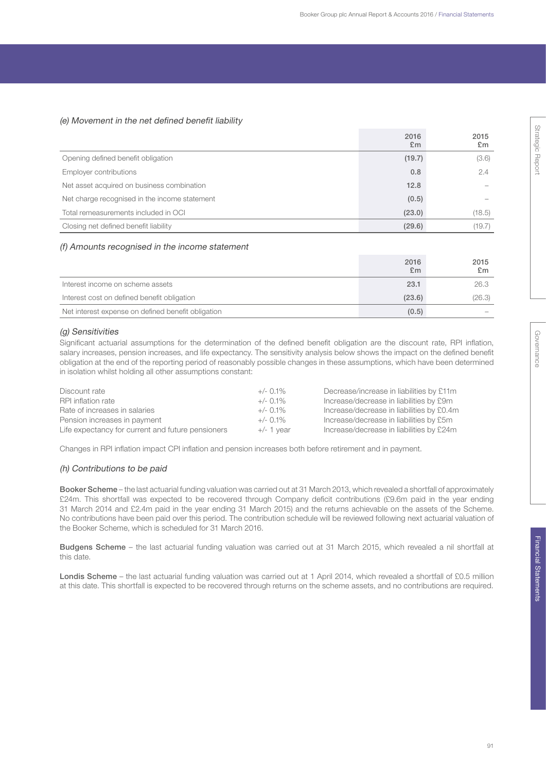## (e) Movement in the net defined benefit liability

|                                               | 2016<br>E <sub>m</sub> | 2015<br>£m |
|-----------------------------------------------|------------------------|------------|
| Opening defined benefit obligation            | (19.7)                 | (3.6)      |
| Employer contributions                        | 0.8                    | 2.4        |
| Net asset acquired on business combination    | 12.8                   |            |
| Net charge recognised in the income statement | (0.5)                  |            |
| Total remeasurements included in OCI          | (23.0)                 | (18.5)     |
| Closing net defined benefit liability         | (29.6)                 | (19.7)     |

### (f) Amounts recognised in the income statement

|                                                    | 2016<br>E <sub>m</sub> | 2015<br>E <sub>m</sub> |
|----------------------------------------------------|------------------------|------------------------|
| Interest income on scheme assets                   | 23.1                   | 26.3                   |
| Interest cost on defined benefit obligation        | (23.6)                 | (26.3)                 |
| Net interest expense on defined benefit obligation | (0.5)                  |                        |

### (g) Sensitivities

Significant actuarial assumptions for the determination of the defined benefit obligation are the discount rate, RPI inflation, salary increases, pension increases, and life expectancy. The sensitivity analysis below shows the impact on the defined benefit obligation at the end of the reporting period of reasonably possible changes in these assumptions, which have been determined in isolation whilst holding all other assumptions constant:

| Discount rate                                     | $+/-$ 0.1%   | Decrease/increase in liabilities by £11m  |
|---------------------------------------------------|--------------|-------------------------------------------|
| RPI inflation rate                                | $+/-$ 0.1%   | Increase/decrease in liabilities by £9m   |
| Rate of increases in salaries                     | $+/-$ 0.1%   | Increase/decrease in liabilities by £0.4m |
| Pension increases in payment                      | $+/- 0.1\%$  | Increase/decrease in liabilities by £5m   |
| Life expectancy for current and future pensioners | $+/- 1$ year | Increase/decrease in liabilities by £24m  |

Changes in RPI inflation impact CPI inflation and pension increases both before retirement and in payment.

### (h) Contributions to be paid

Booker Scheme – the last actuarial funding valuation was carried out at 31 March 2013, which revealed a shortfall of approximately £24m. This shortfall was expected to be recovered through Company deficit contributions (£9.6m paid in the year ending 31 March 2014 and £2.4m paid in the year ending 31 March 2015) and the returns achievable on the assets of the Scheme. No contributions have been paid over this period. The contribution schedule will be reviewed following next actuarial valuation of the Booker Scheme, which is scheduled for 31 March 2016.

Budgens Scheme – the last actuarial funding valuation was carried out at 31 March 2015, which revealed a nil shortfall at this date.

Londis Scheme – the last actuarial funding valuation was carried out at 1 April 2014, which revealed a shortfall of £0.5 million at this date. This shortfall is expected to be recovered through returns on the scheme assets, and no contributions are required.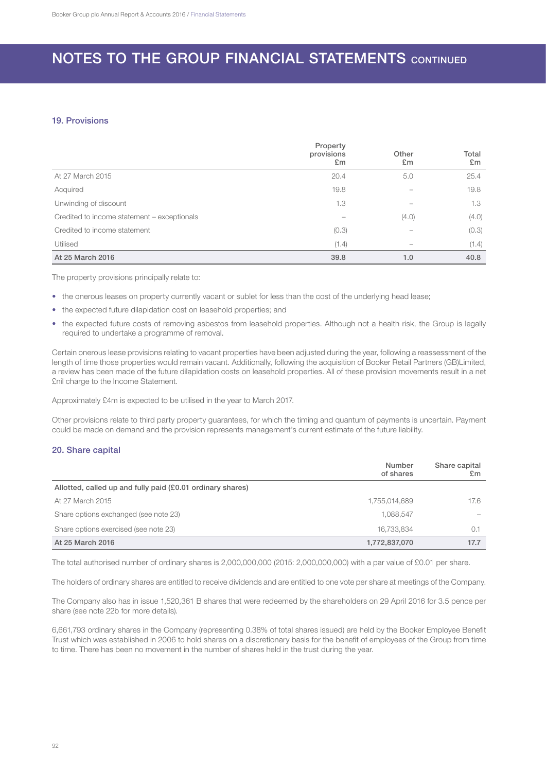## 19. Provisions

|                                             | Property<br>provisions<br>E <sub>m</sub> | Other<br>E <sub>m</sub> | Total<br>E <sub>m</sub> |
|---------------------------------------------|------------------------------------------|-------------------------|-------------------------|
| At 27 March 2015                            | 20.4                                     | 5.0                     | 25.4                    |
| Acquired                                    | 19.8                                     |                         | 19.8                    |
| Unwinding of discount                       | 1.3                                      |                         | 1.3                     |
| Credited to income statement - exceptionals |                                          | (4.0)                   | (4.0)                   |
| Credited to income statement                | (0.3)                                    |                         | (0.3)                   |
| Utilised                                    | (1.4)                                    |                         | (1.4)                   |
| At 25 March 2016                            | 39.8                                     | 1.0                     | 40.8                    |

The property provisions principally relate to:

- the onerous leases on property currently vacant or sublet for less than the cost of the underlying head lease;
- the expected future dilapidation cost on leasehold properties; and
- the expected future costs of removing asbestos from leasehold properties. Although not a health risk, the Group is legally required to undertake a programme of removal.

Certain onerous lease provisions relating to vacant properties have been adjusted during the year, following a reassessment of the length of time those properties would remain vacant. Additionally, following the acquisition of Booker Retail Partners (GB)Limited, a review has been made of the future dilapidation costs on leasehold properties. All of these provision movements result in a net £nil charge to the Income Statement.

Approximately £4m is expected to be utilised in the year to March 2017.

Other provisions relate to third party property guarantees, for which the timing and quantum of payments is uncertain. Payment could be made on demand and the provision represents management's current estimate of the future liability.

### 20. Share capital

|                                                            | Number<br>of shares | Share capital<br>£m |
|------------------------------------------------------------|---------------------|---------------------|
| Allotted, called up and fully paid (£0.01 ordinary shares) |                     |                     |
| At 27 March 2015                                           | 1,755,014,689       | 17.6                |
| Share options exchanged (see note 23)                      | 1.088.547           |                     |
| Share options exercised (see note 23)                      | 16.733.834          | 0.1                 |
| At 25 March 2016                                           | 1,772,837,070       | 17.7                |

The total authorised number of ordinary shares is 2,000,000,000 (2015: 2,000,000,000) with a par value of £0.01 per share.

The holders of ordinary shares are entitled to receive dividends and are entitled to one vote per share at meetings of the Company.

The Company also has in issue 1,520,361 B shares that were redeemed by the shareholders on 29 April 2016 for 3.5 pence per share (see note 22b for more details).

6,661,793 ordinary shares in the Company (representing 0.38% of total shares issued) are held by the Booker Employee Benefit Trust which was established in 2006 to hold shares on a discretionary basis for the benefit of employees of the Group from time to time. There has been no movement in the number of shares held in the trust during the year.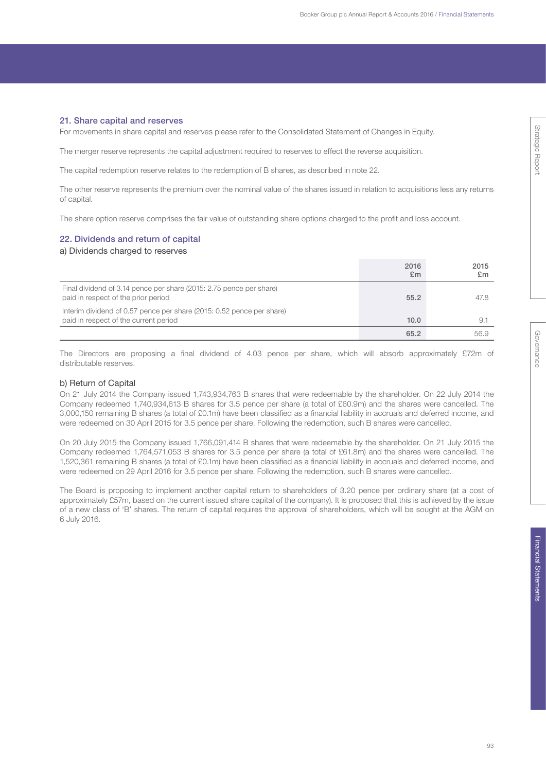# **Strategic Report** Strategic Report

Governance Governance

Financial Statements Financial Statements

## 21. Share capital and reserves

For movements in share capital and reserves please refer to the Consolidated Statement of Changes in Equity.

The merger reserve represents the capital adjustment required to reserves to effect the reverse acquisition.

The capital redemption reserve relates to the redemption of B shares, as described in note 22.

The other reserve represents the premium over the nominal value of the shares issued in relation to acquisitions less any returns of capital.

The share option reserve comprises the fair value of outstanding share options charged to the profit and loss account.

## 22. Dividends and return of capital

a) Dividends charged to reserves

|                                                                                                                | 2016<br>£m | 2015<br>£m |
|----------------------------------------------------------------------------------------------------------------|------------|------------|
| Final dividend of 3.14 pence per share (2015: 2.75 pence per share)<br>paid in respect of the prior period     | 55.2       | 47.8       |
| Interim dividend of 0.57 pence per share (2015: 0.52 pence per share)<br>paid in respect of the current period | 10.0       | 9.         |
|                                                                                                                | 65.2       | 56.9       |

The Directors are proposing a final dividend of 4.03 pence per share, which will absorb approximately £72m of distributable reserves.

## b) Return of Capital

On 21 July 2014 the Company issued 1,743,934,763 B shares that were redeemable by the shareholder. On 22 July 2014 the Company redeemed 1,740,934,613 B shares for 3.5 pence per share (a total of £60.9m) and the shares were cancelled. The 3,000,150 remaining B shares (a total of £0.1m) have been classified as a financial liability in accruals and deferred income, and were redeemed on 30 April 2015 for 3.5 pence per share. Following the redemption, such B shares were cancelled.

On 20 July 2015 the Company issued 1,766,091,414 B shares that were redeemable by the shareholder. On 21 July 2015 the Company redeemed 1,764,571,053 B shares for 3.5 pence per share (a total of £61.8m) and the shares were cancelled. The 1,520,361 remaining B shares (a total of £0.1m) have been classified as a financial liability in accruals and deferred income, and were redeemed on 29 April 2016 for 3.5 pence per share. Following the redemption, such B shares were cancelled.

The Board is proposing to implement another capital return to shareholders of 3.20 pence per ordinary share (at a cost of approximately £57m, based on the current issued share capital of the company). It is proposed that this is achieved by the issue of a new class of 'B' shares. The return of capital requires the approval of shareholders, which will be sought at the AGM on 6 July 2016.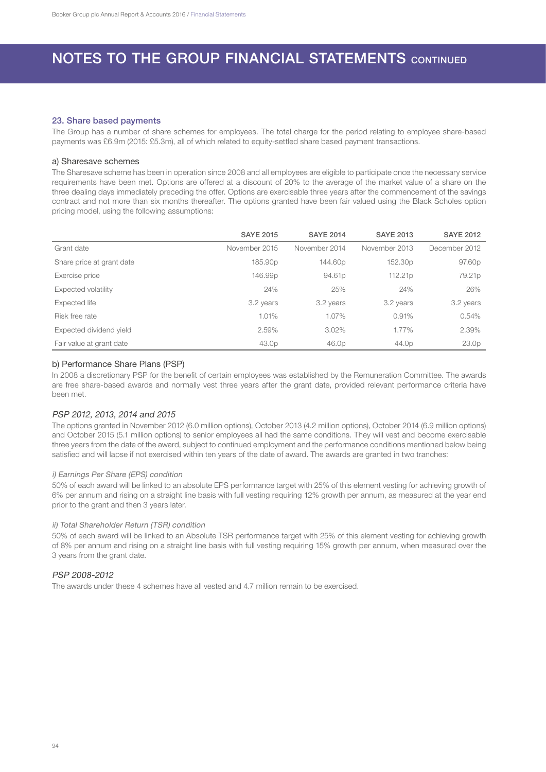## 23. Share based payments

The Group has a number of share schemes for employees. The total charge for the period relating to employee share-based payments was £6.9m (2015: £5.3m), all of which related to equity-settled share based payment transactions.

#### a) Sharesave schemes

The Sharesave scheme has been in operation since 2008 and all employees are eligible to participate once the necessary service requirements have been met. Options are offered at a discount of 20% to the average of the market value of a share on the three dealing days immediately preceding the offer. Options are exercisable three years after the commencement of the savings contract and not more than six months thereafter. The options granted have been fair valued using the Black Scholes option pricing model, using the following assumptions:

|                           | <b>SAYE 2015</b>    | <b>SAYE 2014</b>   | <b>SAYE 2013</b>    | <b>SAYE 2012</b>   |
|---------------------------|---------------------|--------------------|---------------------|--------------------|
| Grant date                | November 2015       | November 2014      | November 2013       | December 2012      |
| Share price at grant date | 185.90p             | 144.60p            | 152.30 <sub>p</sub> | 97.60 <sub>p</sub> |
| Exercise price            | 146.99 <sub>p</sub> | 94.61 <sub>p</sub> | 112.21 <sub>p</sub> | 79.21p             |
| Expected volatility       | 24%                 | 25%                | 24%                 | 26%                |
| Expected life             | 3.2 years           | 3.2 years          | 3.2 years           | 3.2 years          |
| Risk free rate            | 1.01%               | 1.07%              | 0.91%               | 0.54%              |
| Expected dividend yield   | 2.59%               | 3.02%              | 1.77%               | 2.39%              |
| Fair value at grant date  | 43.0p               | 46.0p              | 44.0p               | 23.0 <sub>p</sub>  |

### b) Performance Share Plans (PSP)

In 2008 a discretionary PSP for the benefit of certain employees was established by the Remuneration Committee. The awards are free share-based awards and normally vest three years after the grant date, provided relevant performance criteria have been met.

### PSP 2012, 2013, 2014 and 2015

The options granted in November 2012 (6.0 million options), October 2013 (4.2 million options), October 2014 (6.9 million options) and October 2015 (5.1 million options) to senior employees all had the same conditions. They will vest and become exercisable three years from the date of the award, subject to continued employment and the performance conditions mentioned below being satisfied and will lapse if not exercised within ten years of the date of award. The awards are granted in two tranches:

## i) Earnings Per Share (EPS) condition

50% of each award will be linked to an absolute EPS performance target with 25% of this element vesting for achieving growth of 6% per annum and rising on a straight line basis with full vesting requiring 12% growth per annum, as measured at the year end prior to the grant and then 3 years later.

### ii) Total Shareholder Return (TSR) condition

50% of each award will be linked to an Absolute TSR performance target with 25% of this element vesting for achieving growth of 8% per annum and rising on a straight line basis with full vesting requiring 15% growth per annum, when measured over the 3 years from the grant date.

### PSP 2008-2012

The awards under these 4 schemes have all vested and 4.7 million remain to be exercised.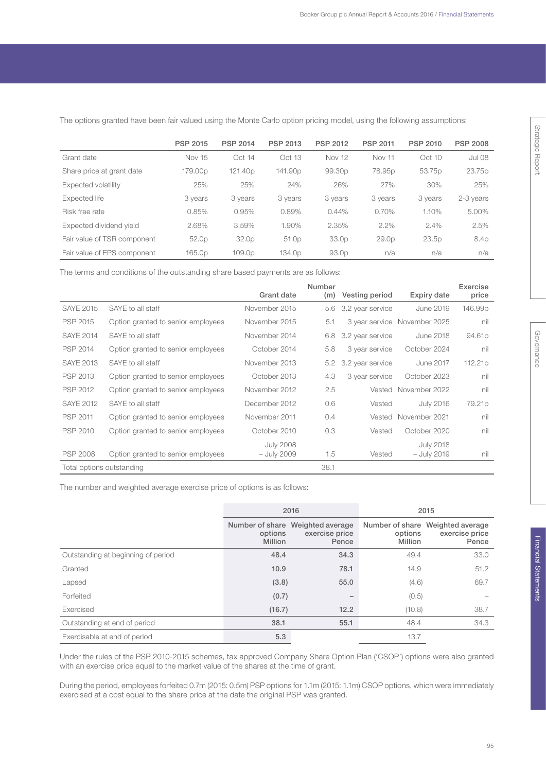|                             | <b>PSP 2015</b>   | <b>PSP 2014</b>     | <b>PSP 2013</b>    | <b>PSP 2012</b>    | <b>PSP 2011</b>   | <b>PSP 2010</b> | <b>PSP 2008</b> |
|-----------------------------|-------------------|---------------------|--------------------|--------------------|-------------------|-----------------|-----------------|
| Grant date                  | <b>Nov 15</b>     | Oct 14              | Oct 13             | <b>Nov 12</b>      | <b>Nov 11</b>     | Oct 10          | <b>Jul 08</b>   |
| Share price at grant date   | 179.00p           | 121.40 <sub>p</sub> | 141.90p            | 99.30 <sub>p</sub> | 78.95p            | 53.75p          | 23.75p          |
| Expected volatility         | 25%               | 25%                 | 24%                | 26%                | 27%               | 30%             | 25%             |
| Expected life               | 3 years           | 3 years             | 3 years            | 3 years            | 3 years           | 3 years         | 2-3 years       |
| Risk free rate              | 0.85%             | 0.95%               | 0.89%              | 0.44%              | 0.70%             | 1.10%           | 5.00%           |
| Expected dividend yield     | 2.68%             | 3.59%               | 1.90%              | 2.35%              | 2.2%              | 2.4%            | 2.5%            |
| Fair value of TSR component | 52.0 <sub>p</sub> | 32.0p               | 51.0 <sub>p</sub>  | 33.0p              | 29.0 <sub>p</sub> | 23.5p           | 8.4p            |
| Fair value of EPS component | 165.0p            | 109.0 <sub>p</sub>  | 134.0 <sub>p</sub> | 93.0 <sub>p</sub>  | n/a               | n/a             | n/a             |

The options granted have been fair valued using the Monte Carlo option pricing model, using the following assumptions:

The terms and conditions of the outstanding share based payments are as follows:

|                           |                                    |                  | Number |                  |                  | Exercise |
|---------------------------|------------------------------------|------------------|--------|------------------|------------------|----------|
|                           |                                    | Grant date       | (m)    | Vesting period   | Expiry date      | price    |
| <b>SAYE 2015</b>          | SAYE to all staff                  | November 2015    | 5.6    | 3.2 year service | June 2019        | 146.99p  |
| PSP 2015                  | Option granted to senior employees | November 2015    | 5.1    | 3 year service   | November 2025    | nil      |
| <b>SAYE 2014</b>          | SAYE to all staff                  | November 2014    | 6.8    | 3.2 year service | <b>June 2018</b> | 94.61p   |
| PSP 2014                  | Option granted to senior employees | October 2014     | 5.8    | 3 year service   | October 2024     | nil      |
| <b>SAYE 2013</b>          | SAYE to all staff                  | November 2013    | 5.2    | 3.2 year service | June 2017        | 112.21p  |
| <b>PSP 2013</b>           | Option granted to senior employees | October 2013     | 4.3    | 3 year service   | October 2023     | nil      |
| PSP 2012                  | Option granted to senior employees | November 2012    | 2.5    | Vested           | November 2022    | nil      |
| <b>SAYE 2012</b>          | SAYE to all staff                  | December 2012    | 0.6    | Vested           | <b>July 2016</b> | 79.21p   |
| PSP 2011                  | Option granted to senior employees | November 2011    | 0.4    | Vested           | November 2021    | nil      |
| <b>PSP 2010</b>           | Option granted to senior employees | October 2010     | 0.3    | Vested           | October 2020     | nil      |
|                           |                                    | <b>July 2008</b> |        |                  | <b>July 2018</b> |          |
| <b>PSP 2008</b>           | Option granted to senior employees | - July 2009      | 1.5    | Vested           | - July 2019      | nil      |
| Total options outstanding |                                    |                  | 38.1   |                  |                  |          |

The number and weighted average exercise price of options is as follows:

|                                    |                                                                                 | 2016 | 2015               |                                                             |  |
|------------------------------------|---------------------------------------------------------------------------------|------|--------------------|-------------------------------------------------------------|--|
|                                    | Number of share Weighted average<br>exercise price<br>options<br><b>Million</b> |      | options<br>Million | Number of share Weighted average<br>exercise price<br>Pence |  |
| Outstanding at beginning of period | 48.4                                                                            | 34.3 | 49.4               | 33.0                                                        |  |
| Granted                            | 10.9                                                                            | 78.1 | 14.9               | 51.2                                                        |  |
| Lapsed                             | (3.8)                                                                           | 55.0 | (4.6)              | 69.7                                                        |  |
| Forfeited                          | (0.7)                                                                           | -    | (0.5)              |                                                             |  |
| Exercised                          | (16.7)                                                                          | 12.2 | (10.8)             | 38.7                                                        |  |
| Outstanding at end of period       | 38.1                                                                            | 55.1 | 48.4               | 34.3                                                        |  |
| Exercisable at end of period       | 5.3                                                                             |      | 13.7               |                                                             |  |

Under the rules of the PSP 2010-2015 schemes, tax approved Company Share Option Plan ('CSOP') options were also granted with an exercise price equal to the market value of the shares at the time of grant.

During the period, employees forfeited 0.7m (2015: 0.5m) PSP options for 1.1m (2015: 1.1m) CSOP options, which were immediately exercised at a cost equal to the share price at the date the original PSP was granted.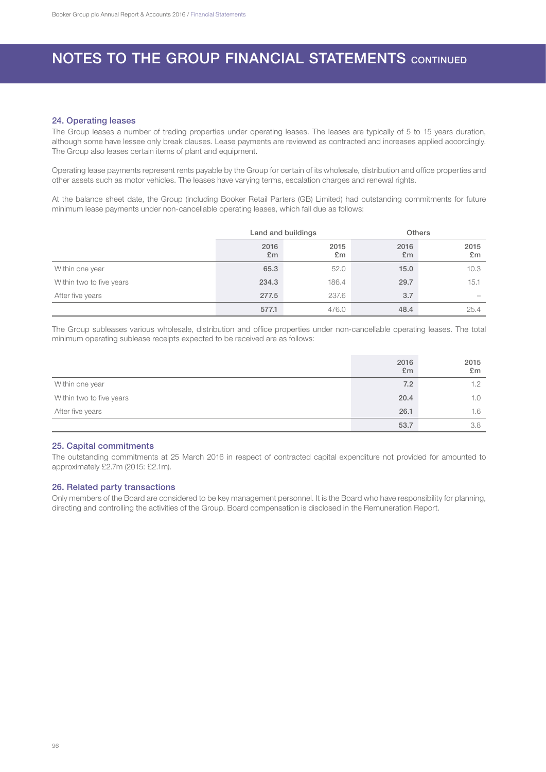#### 24. Operating leases

The Group leases a number of trading properties under operating leases. The leases are typically of 5 to 15 years duration, although some have lessee only break clauses. Lease payments are reviewed as contracted and increases applied accordingly. The Group also leases certain items of plant and equipment.

Operating lease payments represent rents payable by the Group for certain of its wholesale, distribution and office properties and other assets such as motor vehicles. The leases have varying terms, escalation charges and renewal rights.

At the balance sheet date, the Group (including Booker Retail Parters (GB) Limited) had outstanding commitments for future minimum lease payments under non-cancellable operating leases, which fall due as follows:

|                          | Land and buildings |            | <b>Others</b>          |                          |
|--------------------------|--------------------|------------|------------------------|--------------------------|
|                          | 2016<br>£m         | 2015<br>£m | 2016<br>E <sub>m</sub> | 2015<br>£m               |
| Within one year          | 65.3               | 52.0       | 15.0                   | 10.3                     |
| Within two to five years | 234.3              | 186.4      | 29.7                   | 15.1                     |
| After five years         | 277.5              | 237.6      | 3.7                    | $\overline{\phantom{a}}$ |
|                          | 577.1              | 476.0      | 48.4                   | 25.4                     |

The Group subleases various wholesale, distribution and office properties under non-cancellable operating leases. The total minimum operating sublease receipts expected to be received are as follows:

|                          | 2016<br>E <sub>m</sub> | 2015<br>E <sub>m</sub> |
|--------------------------|------------------------|------------------------|
| Within one year          | 7.2                    | 1.2                    |
| Within two to five years | 20.4                   | 1.0                    |
| After five years         | 26.1                   | 1.6                    |
|                          | 53.7                   | 3.8                    |

## 25. Capital commitments

The outstanding commitments at 25 March 2016 in respect of contracted capital expenditure not provided for amounted to approximately £2.7m (2015: £2.1m).

## 26. Related party transactions

Only members of the Board are considered to be key management personnel. It is the Board who have responsibility for planning, directing and controlling the activities of the Group. Board compensation is disclosed in the Remuneration Report.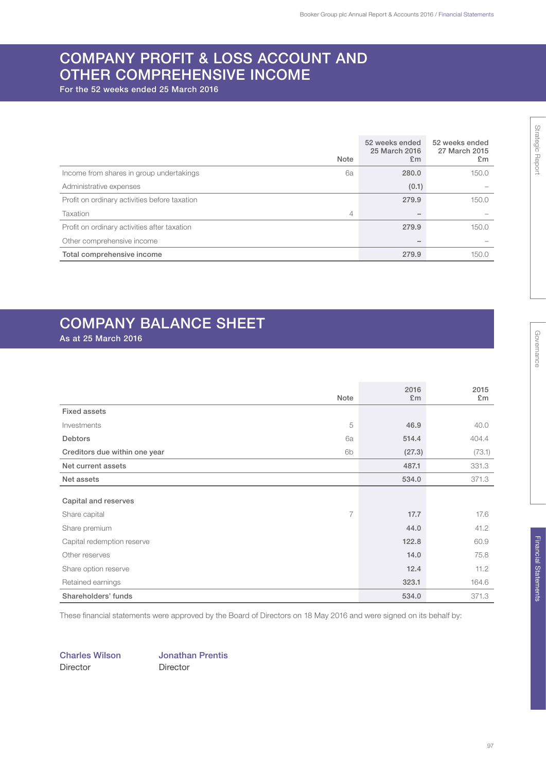## COMPANY PROFIT & LOSS ACCOUNT AND OTHER COMPREHENSIVE INCOME

For the 52 weeks ended 25 March 2016

|                                               | <b>Note</b> | 52 weeks ended<br>25 March 2016<br>E <sub>m</sub> | 52 weeks ended<br>27 March 2015<br>E <sub>m</sub> |
|-----------------------------------------------|-------------|---------------------------------------------------|---------------------------------------------------|
| Income from shares in group undertakings      | 6a          | 280.0                                             | 150.0                                             |
| Administrative expenses                       |             | (0.1)                                             |                                                   |
| Profit on ordinary activities before taxation |             | 279.9                                             | 150.0                                             |
| Taxation                                      | 4           |                                                   |                                                   |
| Profit on ordinary activities after taxation  |             | 279.9                                             | 150.0                                             |
| Other comprehensive income                    |             |                                                   |                                                   |
| Total comprehensive income                    |             | 279.9                                             | 150.0                                             |

## COMPANY BALANCE SHEET

As at 25 March 2016

|                               | Note | 2016<br>£m | 2015<br>£m |
|-------------------------------|------|------------|------------|
|                               |      |            |            |
| <b>Fixed assets</b>           |      |            |            |
| Investments                   | 5    | 46.9       | 40.0       |
| Debtors                       | 6a   | 514.4      | 404.4      |
| Creditors due within one year | 6b   | (27.3)     | (73.1)     |
| Net current assets            |      | 487.1      | 331.3      |
| Net assets                    |      | 534.0      | 371.3      |
|                               |      |            |            |
| Capital and reserves          |      |            |            |
| Share capital                 | 7    | 17.7       | 17.6       |
| Share premium                 |      | 44.0       | 41.2       |
| Capital redemption reserve    |      | 122.8      | 60.9       |
| Other reserves                |      | 14.0       | 75.8       |
| Share option reserve          |      | 12.4       | 11.2       |
| Retained earnings             |      | 323.1      | 164.6      |
| Shareholders' funds           |      | 534.0      | 371.3      |

These financial statements were approved by the Board of Directors on 18 May 2016 and were signed on its behalf by:

Director Director

Charles Wilson Jonathan Prentis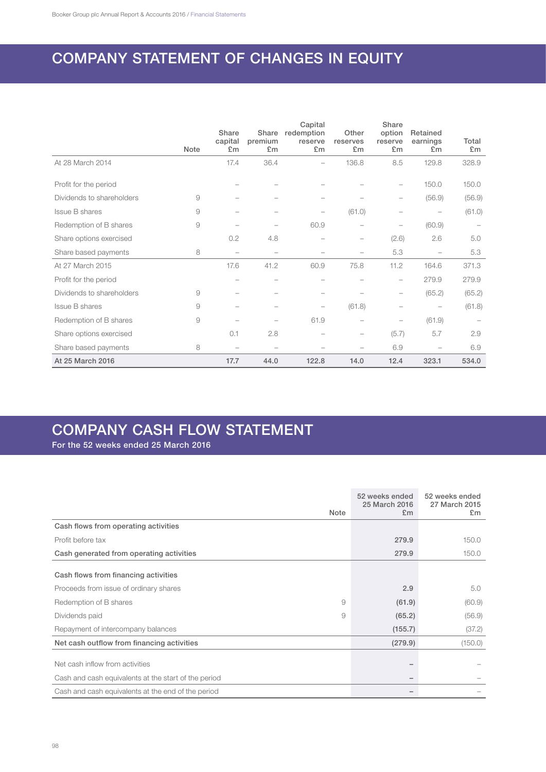## COMPANY STATEMENT OF CHANGES IN EQUITY

|                           |          | Share<br>capital | Share<br>premium         | Capital<br>redemption<br>reserve | Other<br>reserves        | Share<br>option<br>reserve | Retained<br>earnings     | Total  |
|---------------------------|----------|------------------|--------------------------|----------------------------------|--------------------------|----------------------------|--------------------------|--------|
|                           | Note     | £m               | £m                       | £m                               | £m                       | £m                         | £m                       | £m     |
| At 28 March 2014          |          | 17.4             | 36.4                     |                                  | 136.8                    | 8.5                        | 129.8                    | 328.9  |
| Profit for the period     |          |                  |                          |                                  |                          | -                          | 150.0                    | 150.0  |
| Dividends to shareholders | 9        |                  |                          |                                  |                          | -                          | (56.9)                   | (56.9) |
| Issue B shares            | 9        |                  |                          |                                  | (61.0)                   |                            |                          | (61.0) |
| Redemption of B shares    | $\Theta$ |                  |                          | 60.9                             |                          |                            | (60.9)                   |        |
| Share options exercised   |          | 0.2              | 4.8                      |                                  | -                        | (2.6)                      | 2.6                      | 5.0    |
| Share based payments      | 8        |                  | $\overline{\phantom{a}}$ |                                  |                          | 5.3                        |                          | 5.3    |
| At 27 March 2015          |          | 17.6             | 41.2                     | 60.9                             | 75.8                     | 11.2                       | 164.6                    | 371.3  |
| Profit for the period     |          |                  | -                        | $\overline{\phantom{a}}$         | -                        | $\qquad \qquad -$          | 279.9                    | 279.9  |
| Dividends to shareholders | 9        |                  |                          |                                  | -                        | -                          | (65.2)                   | (65.2) |
| <b>Issue B shares</b>     | 9        |                  |                          | $\overline{\phantom{0}}$         | (61.8)                   | -                          | $\overline{\phantom{0}}$ | (61.8) |
| Redemption of B shares    | 9        |                  |                          | 61.9                             | $\overline{\phantom{0}}$ | -                          | (61.9)                   |        |
| Share options exercised   |          | 0.1              | 2.8                      |                                  | -                        | (5.7)                      | 5.7                      | 2.9    |
| Share based payments      | 8        |                  |                          |                                  |                          | 6.9                        |                          | 6.9    |
| At 25 March 2016          |          | 17.7             | 44.0                     | 122.8                            | 14.0                     | 12.4                       | 323.1                    | 534.0  |

## COMPANY CASH FLOW STATEMENT

For the 52 weeks ended 25 March 2016

|                                                      | 52 weeks ended<br>25 March 2016 | 52 weeks ended<br>27 March 2015 |
|------------------------------------------------------|---------------------------------|---------------------------------|
| Note                                                 | E <sub>m</sub>                  | E <sub>m</sub>                  |
| Cash flows from operating activities                 |                                 |                                 |
| Profit before tax                                    | 279.9                           | 150.0                           |
| Cash generated from operating activities             | 279.9                           | 150.0                           |
| Cash flows from financing activities                 |                                 |                                 |
| Proceeds from issue of ordinary shares               | 2.9                             | 5.0                             |
| 9<br>Redemption of B shares                          | (61.9)                          | (60.9)                          |
| Dividends paid<br>9                                  | (65.2)                          | (56.9)                          |
| Repayment of intercompany balances                   | (155.7)                         | (37.2)                          |
| Net cash outflow from financing activities           | (279.9)                         | (150.0)                         |
| Net cash inflow from activities                      |                                 |                                 |
| Cash and cash equivalents at the start of the period |                                 |                                 |
| Cash and cash equivalents at the end of the period   |                                 |                                 |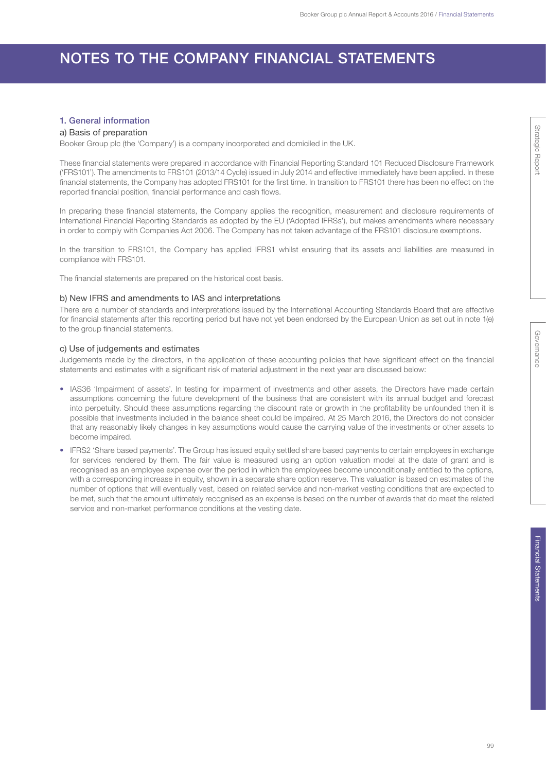## NOTES TO THE COMPANY FINANCIAL STATEMENTS

## 1. General information

### a) Basis of preparation

Booker Group plc (the 'Company') is a company incorporated and domiciled in the UK.

These financial statements were prepared in accordance with Financial Reporting Standard 101 Reduced Disclosure Framework ('FRS101'). The amendments to FRS101 (2013/14 Cycle) issued in July 2014 and effective immediately have been applied. In these financial statements, the Company has adopted FRS101 for the first time. In transition to FRS101 there has been no effect on the reported financial position, financial performance and cash flows.

In preparing these financial statements, the Company applies the recognition, measurement and disclosure requirements of International Financial Reporting Standards as adopted by the EU ('Adopted IFRSs'), but makes amendments where necessary in order to comply with Companies Act 2006. The Company has not taken advantage of the FRS101 disclosure exemptions.

In the transition to FRS101, the Company has applied IFRS1 whilst ensuring that its assets and liabilities are measured in compliance with FRS101.

The financial statements are prepared on the historical cost basis.

## b) New IFRS and amendments to IAS and interpretations

There are a number of standards and interpretations issued by the International Accounting Standards Board that are effective for financial statements after this reporting period but have not yet been endorsed by the European Union as set out in note 1(e) to the group financial statements.

## c) Use of judgements and estimates

Judgements made by the directors, in the application of these accounting policies that have significant effect on the financial statements and estimates with a significant risk of material adjustment in the next year are discussed below:

- IAS36 'Impairment of assets'. In testing for impairment of investments and other assets, the Directors have made certain assumptions concerning the future development of the business that are consistent with its annual budget and forecast into perpetuity. Should these assumptions regarding the discount rate or growth in the profitability be unfounded then it is possible that investments included in the balance sheet could be impaired. At 25 March 2016, the Directors do not consider that any reasonably likely changes in key assumptions would cause the carrying value of the investments or other assets to become impaired.
- IFRS2 'Share based payments'. The Group has issued equity settled share based payments to certain employees in exchange for services rendered by them. The fair value is measured using an option valuation model at the date of grant and is recognised as an employee expense over the period in which the employees become unconditionally entitled to the options, with a corresponding increase in equity, shown in a separate share option reserve. This valuation is based on estimates of the number of options that will eventually vest, based on related service and non-market vesting conditions that are expected to be met, such that the amount ultimately recognised as an expense is based on the number of awards that do meet the related service and non-market performance conditions at the vesting date.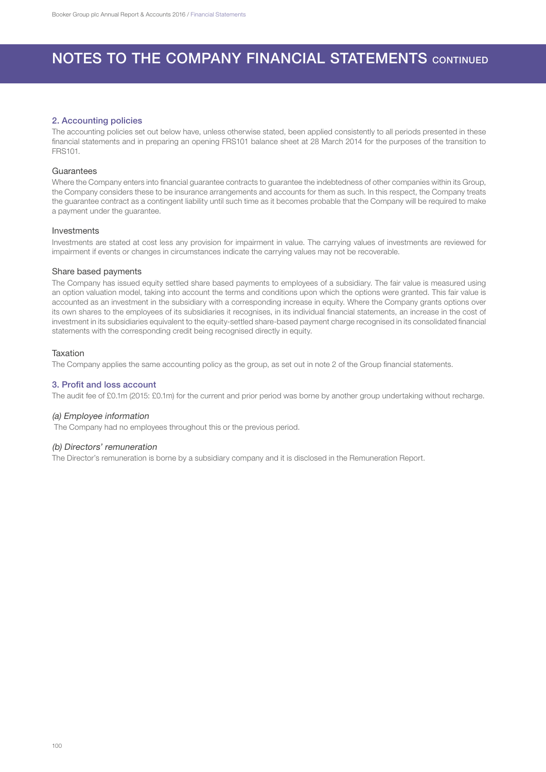#### 2. Accounting policies

The accounting policies set out below have, unless otherwise stated, been applied consistently to all periods presented in these financial statements and in preparing an opening FRS101 balance sheet at 28 March 2014 for the purposes of the transition to FRS101.

#### Guarantees

Where the Company enters into financial guarantee contracts to guarantee the indebtedness of other companies within its Group, the Company considers these to be insurance arrangements and accounts for them as such. In this respect, the Company treats the guarantee contract as a contingent liability until such time as it becomes probable that the Company will be required to make a payment under the guarantee.

#### Investments

Investments are stated at cost less any provision for impairment in value. The carrying values of investments are reviewed for impairment if events or changes in circumstances indicate the carrying values may not be recoverable.

#### Share based payments

The Company has issued equity settled share based payments to employees of a subsidiary. The fair value is measured using an option valuation model, taking into account the terms and conditions upon which the options were granted. This fair value is accounted as an investment in the subsidiary with a corresponding increase in equity. Where the Company grants options over its own shares to the employees of its subsidiaries it recognises, in its individual financial statements, an increase in the cost of investment in its subsidiaries equivalent to the equity-settled share-based payment charge recognised in its consolidated financial statements with the corresponding credit being recognised directly in equity.

#### **Taxation**

The Company applies the same accounting policy as the group, as set out in note 2 of the Group financial statements.

#### 3. Profit and loss account

The audit fee of £0.1m (2015: £0.1m) for the current and prior period was borne by another group undertaking without recharge.

#### (a) Employee information

The Company had no employees throughout this or the previous period.

#### (b) Directors' remuneration

The Director's remuneration is borne by a subsidiary company and it is disclosed in the Remuneration Report.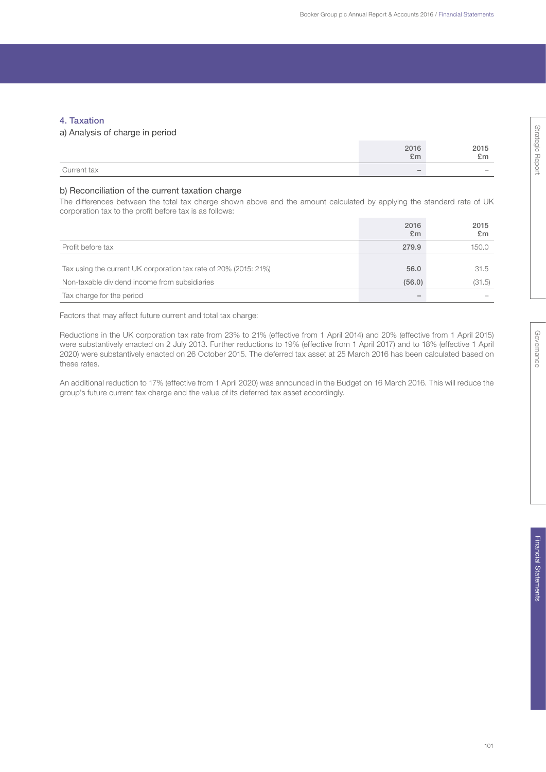## 4. Taxation

## a) Analysis of charge in period

|             | 2016<br>£m               | 2015<br>£m |
|-------------|--------------------------|------------|
| Current tax | $\overline{\phantom{a}}$ | $\sim$     |

## b) Reconciliation of the current taxation charge

The differences between the total tax charge shown above and the amount calculated by applying the standard rate of UK corporation tax to the profit before tax is as follows:

|                                                                  | 2016<br>£m | 2015<br>£m |
|------------------------------------------------------------------|------------|------------|
| Profit before tax                                                | 279.9      | 150.0      |
|                                                                  |            |            |
| Tax using the current UK corporation tax rate of 20% (2015: 21%) | 56.0       | 31.5       |
| Non-taxable dividend income from subsidiaries                    | (56.0)     | (31.5)     |
| Tax charge for the period                                        |            |            |

Factors that may affect future current and total tax charge:

Reductions in the UK corporation tax rate from 23% to 21% (effective from 1 April 2014) and 20% (effective from 1 April 2015) were substantively enacted on 2 July 2013. Further reductions to 19% (effective from 1 April 2017) and to 18% (effective 1 April 2020) were substantively enacted on 26 October 2015. The deferred tax asset at 25 March 2016 has been calculated based on these rates.

An additional reduction to 17% (effective from 1 April 2020) was announced in the Budget on 16 March 2016. This will reduce the group's future current tax charge and the value of its deferred tax asset accordingly.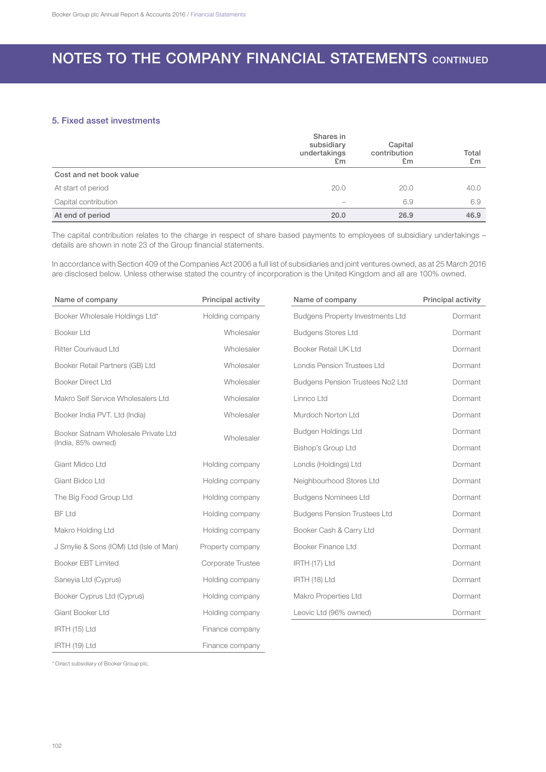## 5. Fixed asset investments

|                         | Shares in<br>subsidiary<br>undertakings<br>£m | Capital<br>contribution<br>E <sub>m</sub> | Total<br>E <sub>m</sub> |
|-------------------------|-----------------------------------------------|-------------------------------------------|-------------------------|
| Cost and net book value |                                               |                                           |                         |
| At start of period      | 20.0                                          | 20.0                                      | 40.0                    |
| Capital contribution    |                                               | 6.9                                       | 6.9                     |
| At end of period        | 20.0                                          | 26.9                                      | 46.9                    |

The capital contribution relates to the charge in respect of share based payments to employees of subsidiary undertakings – details are shown in note 23 of the Group financial statements.

In accordance with Section 409 of the Companies Act 2006 a full list of subsidiaries and joint ventures owned, as at 25 March 2016 are disclosed below. Unless otherwise stated the country of incorporation is the United Kingdom and all are 100% owned.

| Name of company                         | Principal activity | Name of company                         | Principal activity |
|-----------------------------------------|--------------------|-----------------------------------------|--------------------|
| Booker Wholesale Holdings Ltd*          | Holding company    | <b>Budgens Property Investments Ltd</b> | Dormant            |
| Booker Ltd                              | Wholesaler         | <b>Budgens Stores Ltd</b>               | Dormant            |
| <b>Ritter Courivaud Ltd</b>             | Wholesaler         | Booker Retail UK Ltd                    | Dormant            |
| Booker Retail Partners (GB) Ltd         | Wholesaler         | <b>Londis Pension Trustees Ltd</b>      | Dormant            |
| <b>Booker Direct Ltd</b>                | Wholesaler         | Budgens Pension Trustees No2 Ltd        | Dormant            |
| Makro Self Service Wholesalers Ltd      | Wholesaler         | Linnco Ltd                              | Dormant            |
| Booker India PVT. Ltd (India)           | Wholesaler         | Murdoch Norton Ltd                      | Dormant            |
| Booker Satnam Wholesale Private Ltd     | Wholesaler         | Budgen Holdings Ltd                     | Dormant            |
| (India, 85% owned)                      |                    | Bishop's Group Ltd                      | Dormant            |
| Giant Midco Ltd                         | Holding company    | Londis (Holdings) Ltd                   | Dormant            |
| Giant Bidco Ltd                         | Holding company    | Neighbourhood Stores Ltd                | Dormant            |
| The Big Food Group Ltd                  | Holding company    | <b>Budgens Nominees Ltd</b>             | Dormant            |
| <b>BF Ltd</b>                           | Holding company    | <b>Budgens Pension Trustees Ltd</b>     | Dormant            |
| Makro Holding Ltd                       | Holding company    | Booker Cash & Carry Ltd                 | Dormant            |
| J Smylie & Sons (IOM) Ltd (Isle of Man) | Property company   | Booker Finance Ltd                      | Dormant            |
| <b>Booker EBT Limited</b>               | Corporate Trustee  | IRTH (17) Ltd                           | Dormant            |
| Saneyia Ltd (Cyprus)                    | Holding company    | IRTH (18) Ltd                           | Dormant            |
| Booker Cyprus Ltd (Cyprus)              | Holding company    | Makro Properties Ltd                    | Dormant            |
| Giant Booker Ltd                        | Holding company    | Leovic Ltd (96% owned)                  | Dormant            |
| IRTH (15) Ltd                           | Finance company    |                                         |                    |
| IRTH (19) Ltd                           | Finance company    |                                         |                    |

\* Direct subsidiary of Booker Group plc.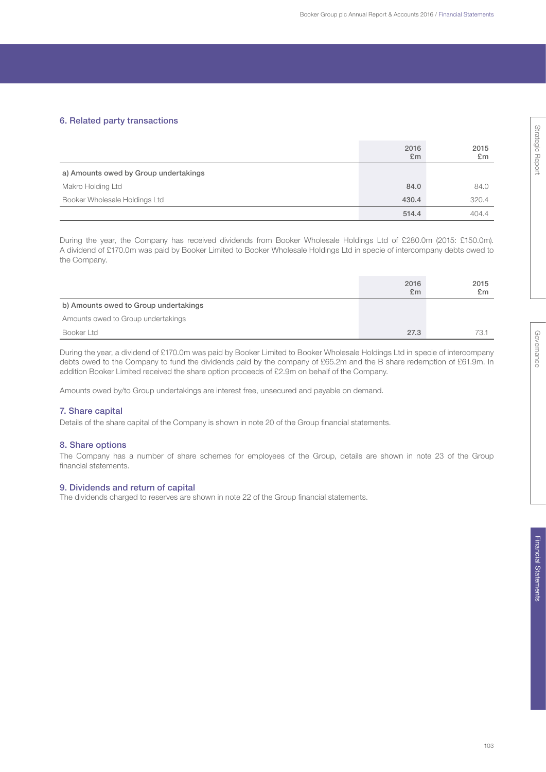## 6. Related party transactions

|                                       | 2016<br>E <sub>m</sub> | 2015<br>£m |
|---------------------------------------|------------------------|------------|
| a) Amounts owed by Group undertakings |                        |            |
| Makro Holding Ltd                     | 84.0                   | 84.0       |
| Booker Wholesale Holdings Ltd         | 430.4                  | 320.4      |
|                                       | 514.4                  | 404.4      |

During the year, the Company has received dividends from Booker Wholesale Holdings Ltd of £280.0m (2015: £150.0m). A dividend of £170.0m was paid by Booker Limited to Booker Wholesale Holdings Ltd in specie of intercompany debts owed to the Company.

|                                       | 2016<br>E <sub>m</sub> | 2015<br>£m |
|---------------------------------------|------------------------|------------|
| b) Amounts owed to Group undertakings |                        |            |
| Amounts owed to Group undertakings    |                        |            |
| Booker Ltd                            | 27.3                   | 73.1       |

During the year, a dividend of £170.0m was paid by Booker Limited to Booker Wholesale Holdings Ltd in specie of intercompany debts owed to the Company to fund the dividends paid by the company of £65.2m and the B share redemption of £61.9m. In addition Booker Limited received the share option proceeds of £2.9m on behalf of the Company.

Amounts owed by/to Group undertakings are interest free, unsecured and payable on demand.

## 7. Share capital

Details of the share capital of the Company is shown in note 20 of the Group financial statements.

## 8. Share options

The Company has a number of share schemes for employees of the Group, details are shown in note 23 of the Group financial statements.

## 9. Dividends and return of capital

The dividends charged to reserves are shown in note 22 of the Group financial statements.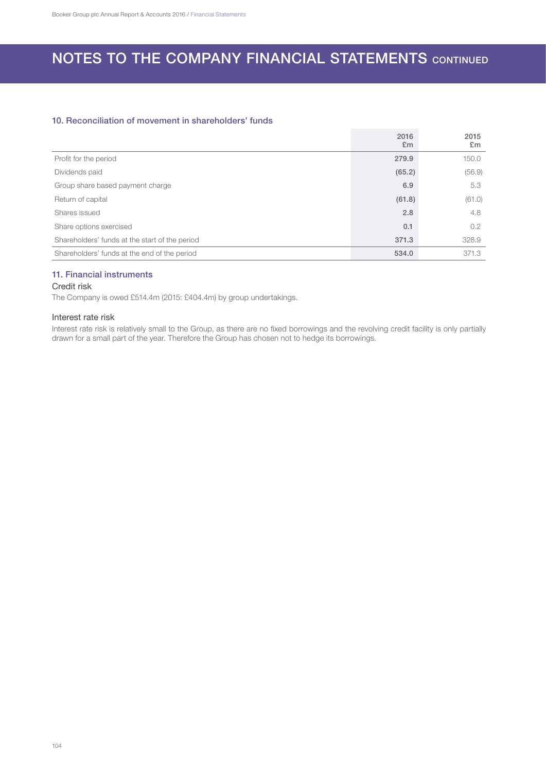## 10. Reconciliation of movement in shareholders' funds

|                                                | 2016<br>E <sub>m</sub> | 2015<br>£m |
|------------------------------------------------|------------------------|------------|
| Profit for the period                          | 279.9                  | 150.0      |
| Dividends paid                                 | (65.2)                 | (56.9)     |
| Group share based payment charge               | 6.9                    | 5.3        |
| Return of capital                              | (61.8)                 | (61.0)     |
| Shares issued                                  | 2.8                    | 4.8        |
| Share options exercised                        | 0.1                    | 0.2        |
| Shareholders' funds at the start of the period | 371.3                  | 328.9      |
| Shareholders' funds at the end of the period   | 534.0                  | 371.3      |

## 11. Financial instruments

## Credit risk

The Company is owed £514.4m (2015: £404.4m) by group undertakings.

## Interest rate risk

Interest rate risk is relatively small to the Group, as there are no fixed borrowings and the revolving credit facility is only partially drawn for a small part of the year. Therefore the Group has chosen not to hedge its borrowings.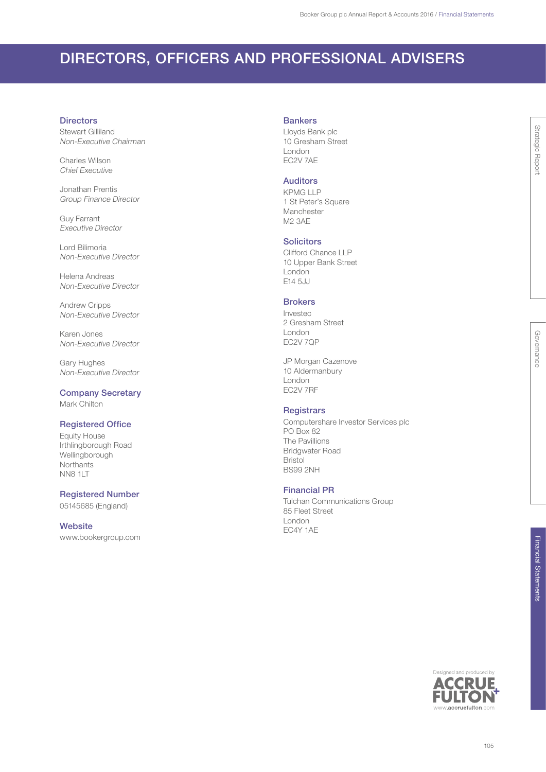## DIRECTORS, OFFICERS AND PROFESSIONAL ADVISERS

#### **Directors**

Stewart Gilliland Non-Executive Chairman

Charles Wilson Chief Executive

Jonathan Prentis Group Finance Director

Guy Farrant Executive Director

Lord Bilimoria Non-Executive Director

Helena Andreas Non-Executive Director

Andrew Cripps Non-Executive Director

Karen Jones Non-Executive Director

Gary Hughes Non-Executive Director

Company Secretary Mark Chilton

## Registered Office

Equity House Irthlingborough Road Wellingborough **Northants** NN8 1LT

## Registered Number

05145685 (England)

## **Website**

www.bookergroup.com

### **Bankers**

Lloyds Bank plc 10 Gresham Street London EC2V 7AE

## Auditors

KPMG LLP 1 St Peter's Square Manchester M2 3AE

## **Solicitors**

Clifford Chance LLP 10 Upper Bank Street London E14 5JJ

## **Brokers**

Investec 2 Gresham Street London EC2V 7QP

JP Morgan Cazenove 10 Aldermanbury London EC2V 7RF

## **Registrars**

Computershare Investor Services plc PO Box 82 The Pavillions Bridgwater Road Bristol BS99 2NH

## Financial PR

Tulchan Communications Group 85 Fleet Street London EC4Y 1AE